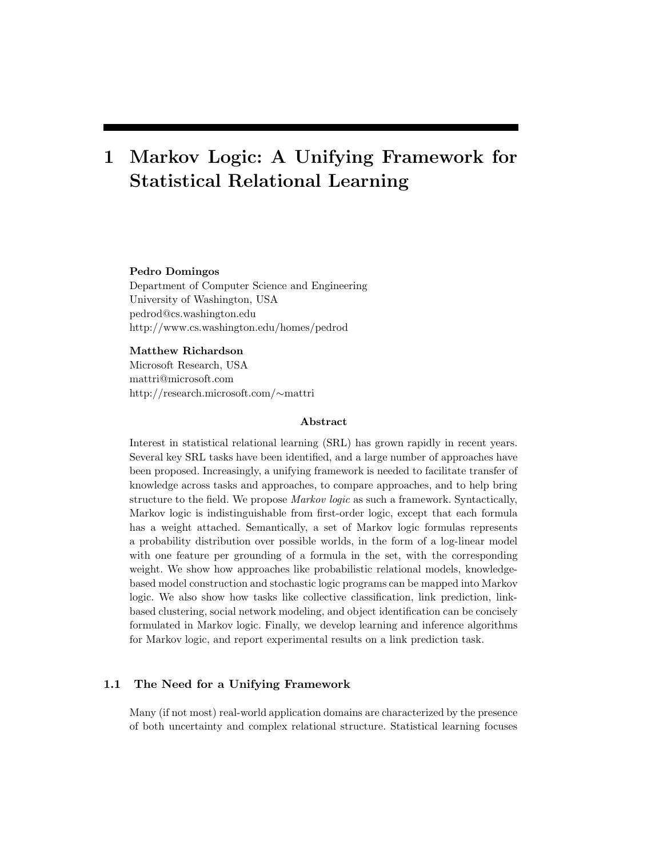# 1 Markov Logic: A Unifying Framework for Statistical Relational Learning

## Pedro Domingos

Department of Computer Science and Engineering University of Washington, USA pedrod@cs.washington.edu http://www.cs.washington.edu/homes/pedrod

#### Matthew Richardson

Microsoft Research, USA mattri@microsoft.com http://research.microsoft.com/∼mattri

## Abstract

Interest in statistical relational learning (SRL) has grown rapidly in recent years. Several key SRL tasks have been identified, and a large number of approaches have been proposed. Increasingly, a unifying framework is needed to facilitate transfer of knowledge across tasks and approaches, to compare approaches, and to help bring structure to the field. We propose Markov logic as such a framework. Syntactically, Markov logic is indistinguishable from first-order logic, except that each formula has a weight attached. Semantically, a set of Markov logic formulas represents a probability distribution over possible worlds, in the form of a log-linear model with one feature per grounding of a formula in the set, with the corresponding weight. We show how approaches like probabilistic relational models, knowledgebased model construction and stochastic logic programs can be mapped into Markov logic. We also show how tasks like collective classification, link prediction, linkbased clustering, social network modeling, and object identification can be concisely formulated in Markov logic. Finally, we develop learning and inference algorithms for Markov logic, and report experimental results on a link prediction task.

## 1.1 The Need for a Unifying Framework

Many (if not most) real-world application domains are characterized by the presence of both uncertainty and complex relational structure. Statistical learning focuses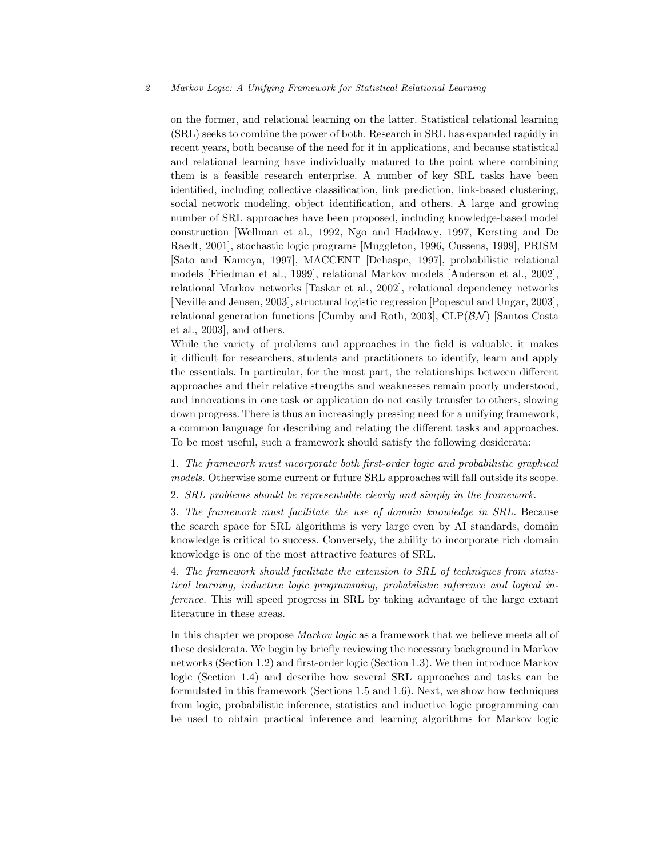on the former, and relational learning on the latter. Statistical relational learning (SRL) seeks to combine the power of both. Research in SRL has expanded rapidly in recent years, both because of the need for it in applications, and because statistical and relational learning have individually matured to the point where combining them is a feasible research enterprise. A number of key SRL tasks have been identified, including collective classification, link prediction, link-based clustering, social network modeling, object identification, and others. A large and growing number of SRL approaches have been proposed, including knowledge-based model construction [Wellman et al., 1992, Ngo and Haddawy, 1997, Kersting and De Raedt, 2001], stochastic logic programs [Muggleton, 1996, Cussens, 1999], PRISM [Sato and Kameya, 1997], MACCENT [Dehaspe, 1997], probabilistic relational models [Friedman et al., 1999], relational Markov models [Anderson et al., 2002], relational Markov networks [Taskar et al., 2002], relational dependency networks [Neville and Jensen, 2003], structural logistic regression [Popescul and Ungar, 2003], relational generation functions [Cumby and Roth, 2003],  $CLP(\mathcal{BN})$  [Santos Costa et al., 2003], and others.

While the variety of problems and approaches in the field is valuable, it makes it difficult for researchers, students and practitioners to identify, learn and apply the essentials. In particular, for the most part, the relationships between different approaches and their relative strengths and weaknesses remain poorly understood, and innovations in one task or application do not easily transfer to others, slowing down progress. There is thus an increasingly pressing need for a unifying framework, a common language for describing and relating the different tasks and approaches. To be most useful, such a framework should satisfy the following desiderata:

1. The framework must incorporate both first-order logic and probabilistic graphical models. Otherwise some current or future SRL approaches will fall outside its scope.

2. SRL problems should be representable clearly and simply in the framework.

3. The framework must facilitate the use of domain knowledge in SRL. Because the search space for SRL algorithms is very large even by AI standards, domain knowledge is critical to success. Conversely, the ability to incorporate rich domain knowledge is one of the most attractive features of SRL.

4. The framework should facilitate the extension to SRL of techniques from statistical learning, inductive logic programming, probabilistic inference and logical inference. This will speed progress in SRL by taking advantage of the large extant literature in these areas.

In this chapter we propose Markov logic as a framework that we believe meets all of these desiderata. We begin by briefly reviewing the necessary background in Markov networks (Section 1.2) and first-order logic (Section 1.3). We then introduce Markov logic (Section 1.4) and describe how several SRL approaches and tasks can be formulated in this framework (Sections 1.5 and 1.6). Next, we show how techniques from logic, probabilistic inference, statistics and inductive logic programming can be used to obtain practical inference and learning algorithms for Markov logic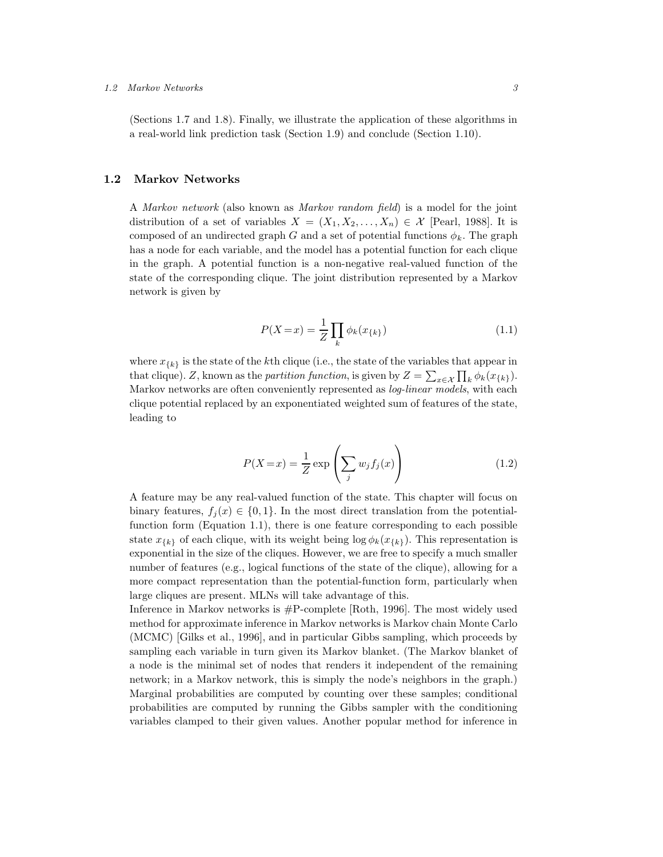#### 1.2 Markov Networks 3

(Sections 1.7 and 1.8). Finally, we illustrate the application of these algorithms in a real-world link prediction task (Section 1.9) and conclude (Section 1.10).

#### 1.2 Markov Networks

A Markov network (also known as Markov random field) is a model for the joint distribution of a set of variables  $X = (X_1, X_2, \ldots, X_n) \in \mathcal{X}$  [Pearl, 1988]. It is composed of an undirected graph G and a set of potential functions  $\phi_k$ . The graph has a node for each variable, and the model has a potential function for each clique in the graph. A potential function is a non-negative real-valued function of the state of the corresponding clique. The joint distribution represented by a Markov network is given by

$$
P(X = x) = \frac{1}{Z} \prod_{k} \phi_k(x_{\{k\}})
$$
\n(1.1)

where  $x_{\{k\}}$  is the state of the kth clique (i.e., the state of the variables that appear in that clique). Z, known as the *partition function*, is given by  $Z = \sum_{x \in \mathcal{X}} \prod_k \phi_k(x_{\{k\}})$ . Markov networks are often conveniently represented as log-linear models, with each clique potential replaced by an exponentiated weighted sum of features of the state, leading to

$$
P(X=x) = \frac{1}{Z} \exp\left(\sum_{j} w_j f_j(x)\right)
$$
 (1.2)

A feature may be any real-valued function of the state. This chapter will focus on binary features,  $f_i(x) \in \{0,1\}$ . In the most direct translation from the potentialfunction form (Equation 1.1), there is one feature corresponding to each possible state  $x_{ik}$  of each clique, with its weight being log  $\phi_k(x_{ik})$ . This representation is exponential in the size of the cliques. However, we are free to specify a much smaller number of features (e.g., logical functions of the state of the clique), allowing for a more compact representation than the potential-function form, particularly when large cliques are present. MLNs will take advantage of this.

Inference in Markov networks is  $#P$ -complete [Roth, 1996]. The most widely used method for approximate inference in Markov networks is Markov chain Monte Carlo (MCMC) [Gilks et al., 1996], and in particular Gibbs sampling, which proceeds by sampling each variable in turn given its Markov blanket. (The Markov blanket of a node is the minimal set of nodes that renders it independent of the remaining network; in a Markov network, this is simply the node's neighbors in the graph.) Marginal probabilities are computed by counting over these samples; conditional probabilities are computed by running the Gibbs sampler with the conditioning variables clamped to their given values. Another popular method for inference in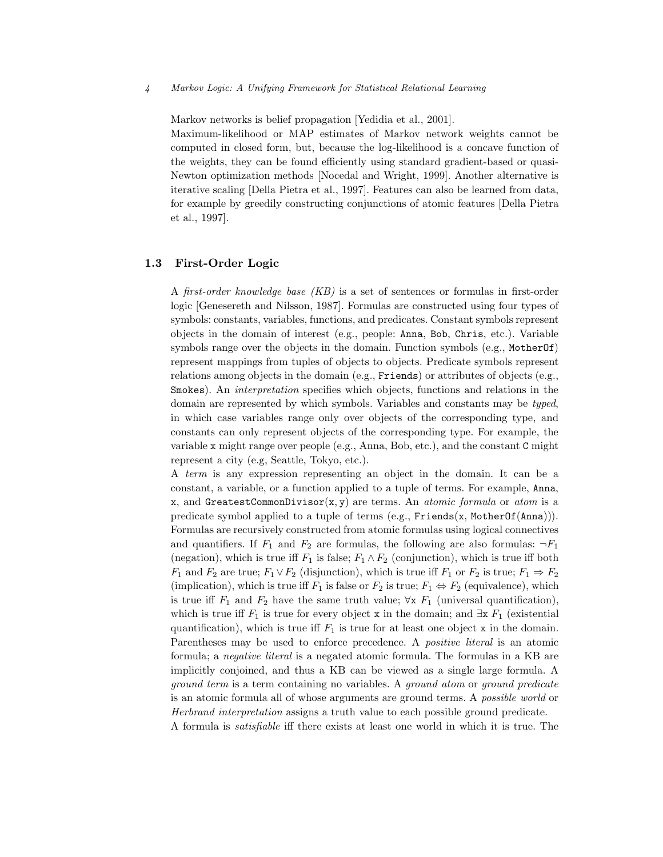Markov networks is belief propagation [Yedidia et al., 2001].

Maximum-likelihood or MAP estimates of Markov network weights cannot be computed in closed form, but, because the log-likelihood is a concave function of the weights, they can be found efficiently using standard gradient-based or quasi-Newton optimization methods [Nocedal and Wright, 1999]. Another alternative is iterative scaling [Della Pietra et al., 1997]. Features can also be learned from data, for example by greedily constructing conjunctions of atomic features [Della Pietra et al., 1997].

## 1.3 First-Order Logic

A first-order knowledge base (KB) is a set of sentences or formulas in first-order logic [Genesereth and Nilsson, 1987]. Formulas are constructed using four types of symbols: constants, variables, functions, and predicates. Constant symbols represent objects in the domain of interest (e.g., people: Anna, Bob, Chris, etc.). Variable symbols range over the objects in the domain. Function symbols (e.g., MotherOf) represent mappings from tuples of objects to objects. Predicate symbols represent relations among objects in the domain (e.g., Friends) or attributes of objects (e.g., Smokes). An interpretation specifies which objects, functions and relations in the domain are represented by which symbols. Variables and constants may be typed, in which case variables range only over objects of the corresponding type, and constants can only represent objects of the corresponding type. For example, the variable x might range over people (e.g., Anna, Bob, etc.), and the constant C might represent a city (e.g, Seattle, Tokyo, etc.).

A term is any expression representing an object in the domain. It can be a constant, a variable, or a function applied to a tuple of terms. For example, Anna, x, and GreatestCommonDivisor $(x, y)$  are terms. An *atomic formula* or *atom* is a predicate symbol applied to a tuple of terms (e.g.,  $\text{friends}(x, \text{MotherOf}(\text{Anna}))).$ Formulas are recursively constructed from atomic formulas using logical connectives and quantifiers. If  $F_1$  and  $F_2$  are formulas, the following are also formulas:  $\neg F_1$ (negation), which is true iff  $F_1$  is false;  $F_1 \wedge F_2$  (conjunction), which is true iff both  $F_1$  and  $F_2$  are true;  $F_1 \vee F_2$  (disjunction), which is true iff  $F_1$  or  $F_2$  is true;  $F_1 \Rightarrow F_2$ (implication), which is true iff  $F_1$  is false or  $F_2$  is true;  $F_1 \Leftrightarrow F_2$  (equivalence), which is true iff  $F_1$  and  $F_2$  have the same truth value;  $\forall x \ F_1$  (universal quantification), which is true iff  $F_1$  is true for every object x in the domain; and  $\exists x F_1$  (existential quantification), which is true iff  $F_1$  is true for at least one object x in the domain. Parentheses may be used to enforce precedence. A *positive literal* is an atomic formula; a negative literal is a negated atomic formula. The formulas in a KB are implicitly conjoined, and thus a KB can be viewed as a single large formula. A ground term is a term containing no variables. A ground atom or ground predicate is an atomic formula all of whose arguments are ground terms. A possible world or Herbrand interpretation assigns a truth value to each possible ground predicate. A formula is satisfiable iff there exists at least one world in which it is true. The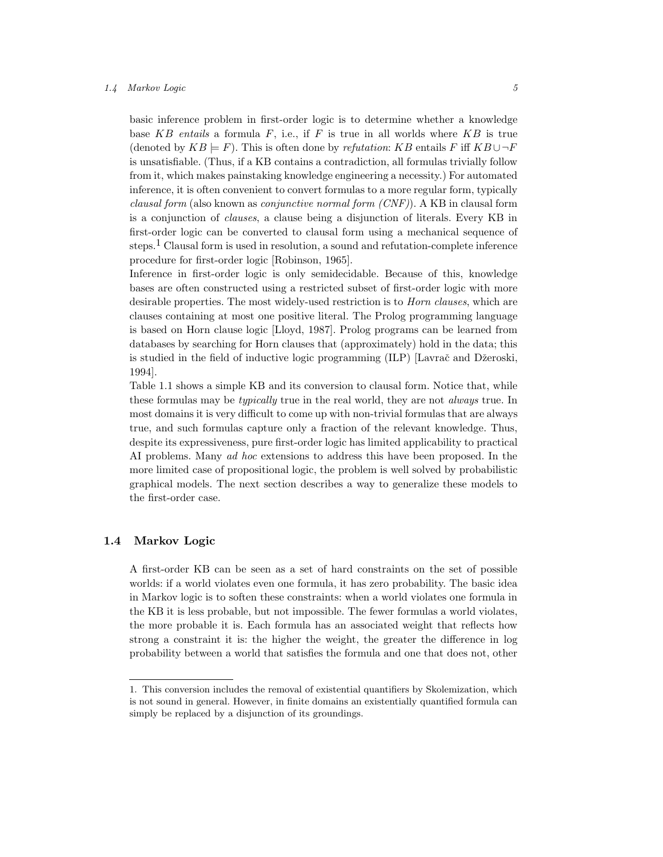#### 1.4 Markov Logic 5

basic inference problem in first-order logic is to determine whether a knowledge base KB entails a formula F, i.e., if F is true in all worlds where KB is true (denoted by  $KB \models F$ ). This is often done by refutation: KB entails F iff  $KB \cup \neg F$ is unsatisfiable. (Thus, if a KB contains a contradiction, all formulas trivially follow from it, which makes painstaking knowledge engineering a necessity.) For automated inference, it is often convenient to convert formulas to a more regular form, typically clausal form (also known as conjunctive normal form (CNF)). A KB in clausal form is a conjunction of clauses, a clause being a disjunction of literals. Every KB in first-order logic can be converted to clausal form using a mechanical sequence of steps.1 Clausal form is used in resolution, a sound and refutation-complete inference procedure for first-order logic [Robinson, 1965].

Inference in first-order logic is only semidecidable. Because of this, knowledge bases are often constructed using a restricted subset of first-order logic with more desirable properties. The most widely-used restriction is to Horn clauses, which are clauses containing at most one positive literal. The Prolog programming language is based on Horn clause logic [Lloyd, 1987]. Prolog programs can be learned from databases by searching for Horn clauses that (approximately) hold in the data; this is studied in the field of inductive logic programming (ILP) [Lavrač and Džeroski, 1994].

Table 1.1 shows a simple KB and its conversion to clausal form. Notice that, while these formulas may be typically true in the real world, they are not always true. In most domains it is very difficult to come up with non-trivial formulas that are always true, and such formulas capture only a fraction of the relevant knowledge. Thus, despite its expressiveness, pure first-order logic has limited applicability to practical AI problems. Many ad hoc extensions to address this have been proposed. In the more limited case of propositional logic, the problem is well solved by probabilistic graphical models. The next section describes a way to generalize these models to the first-order case.

## 1.4 Markov Logic

A first-order KB can be seen as a set of hard constraints on the set of possible worlds: if a world violates even one formula, it has zero probability. The basic idea in Markov logic is to soften these constraints: when a world violates one formula in the KB it is less probable, but not impossible. The fewer formulas a world violates, the more probable it is. Each formula has an associated weight that reflects how strong a constraint it is: the higher the weight, the greater the difference in log probability between a world that satisfies the formula and one that does not, other

<sup>1.</sup> This conversion includes the removal of existential quantifiers by Skolemization, which is not sound in general. However, in finite domains an existentially quantified formula can simply be replaced by a disjunction of its groundings.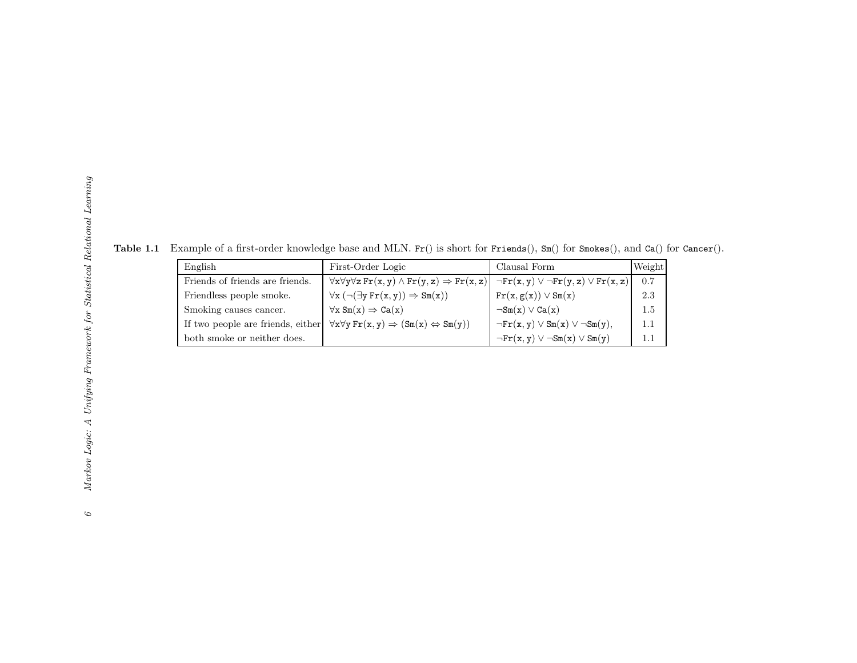Table 1.1 Example of a first-order knowledge base and MLN. Fr() is short for Friends(), Sm() for Smokes(), and Ca() for Cancer().

| English                           | First-Order Logic                                                                                     | Clausal Form                                     | Weight |
|-----------------------------------|-------------------------------------------------------------------------------------------------------|--------------------------------------------------|--------|
| Friends of friends are friends.   | $\forall x \forall y \forall z \, Fr(x, y) \land Fr(y, z) \Rightarrow Fr(x, z)$                       | $\neg Fr(x, y) \lor \neg Fr(y, z) \lor Fr(x, z)$ | 0.7    |
| Friendless people smoke.          | $\forall x (\neg(\exists y \text{Fr}(x, y)) \Rightarrow \text{Sm}(x))$                                | $Fr(x, g(x)) \vee Sm(x)$                         | 2.3    |
| Smoking causes cancer.            | $\forall x Sm(x) \Rightarrow Ca(x)$                                                                   | $\neg Sm(x) \vee Ca(x)$                          | -1.5   |
| If two people are friends, either | $\forall x \forall y \ F\mathbf{r}(x, y) \Rightarrow (\mathsf{Sm}(x) \Leftrightarrow \mathsf{Sm}(y))$ | $\neg Fr(x, y) \vee Sm(x) \vee \neg Sm(y),$      | 1.1    |
| both smoke or neither does.       |                                                                                                       | $\neg Fr(x, y) \lor \neg Sm(x) \lor Sm(y)$       | 1.1    |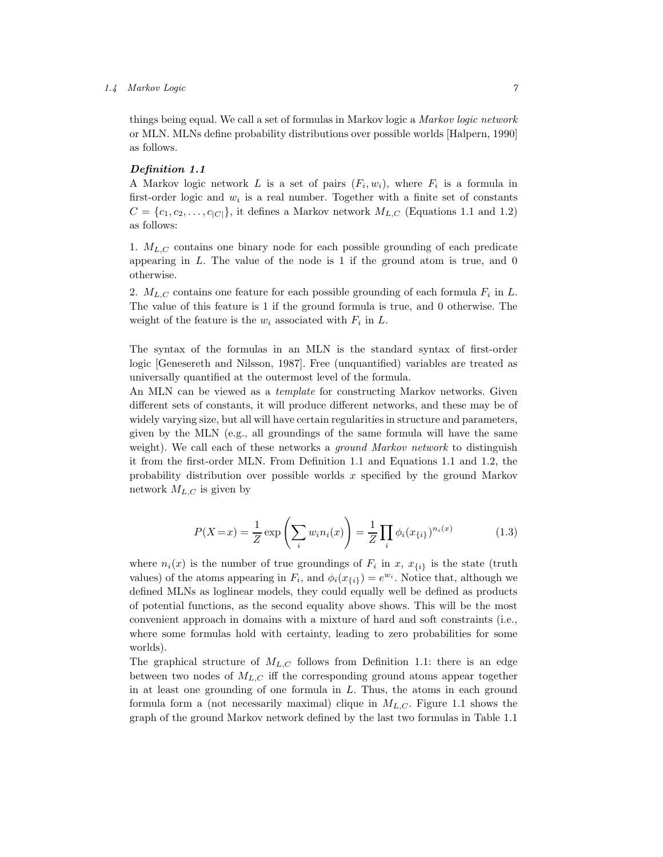## 1.4 Markov Logic 7

things being equal. We call a set of formulas in Markov logic a Markov logic network or MLN. MLNs define probability distributions over possible worlds [Halpern, 1990] as follows.

#### Definition 1.1

A Markov logic network L is a set of pairs  $(F_i, w_i)$ , where  $F_i$  is a formula in first-order logic and  $w_i$  is a real number. Together with a finite set of constants  $C = \{c_1, c_2, \ldots, c_{|C|}\},\$ it defines a Markov network  $M_{L,C}$  (Equations 1.1 and 1.2) as follows:

1.  $M_{L,C}$  contains one binary node for each possible grounding of each predicate appearing in  $L$ . The value of the node is 1 if the ground atom is true, and 0 otherwise.

2.  $M_{L,C}$  contains one feature for each possible grounding of each formula  $F_i$  in L. The value of this feature is 1 if the ground formula is true, and 0 otherwise. The weight of the feature is the  $w_i$  associated with  $F_i$  in  $L$ .

The syntax of the formulas in an MLN is the standard syntax of first-order logic [Genesereth and Nilsson, 1987]. Free (unquantified) variables are treated as universally quantified at the outermost level of the formula.

An MLN can be viewed as a *template* for constructing Markov networks. Given different sets of constants, it will produce different networks, and these may be of widely varying size, but all will have certain regularities in structure and parameters, given by the MLN (e.g., all groundings of the same formula will have the same weight). We call each of these networks a *ground Markov network* to distinguish it from the first-order MLN. From Definition 1.1 and Equations 1.1 and 1.2, the probability distribution over possible worlds  $x$  specified by the ground Markov network  $M_{L,C}$  is given by

$$
P(X=x) = \frac{1}{Z} \exp\left(\sum_{i} w_i n_i(x)\right) = \frac{1}{Z} \prod_{i} \phi_i(x_{\{i\}})^{n_i(x)}
$$
(1.3)

where  $n_i(x)$  is the number of true groundings of  $F_i$  in x,  $x_{\{i\}}$  is the state (truth values) of the atoms appearing in  $F_i$ , and  $\phi_i(x_{\{i\}}) = e^{w_i}$ . Notice that, although we defined MLNs as loglinear models, they could equally well be defined as products of potential functions, as the second equality above shows. This will be the most convenient approach in domains with a mixture of hard and soft constraints (i.e., where some formulas hold with certainty, leading to zero probabilities for some worlds).

The graphical structure of  $M_{L,C}$  follows from Definition 1.1: there is an edge between two nodes of  $M_{L,C}$  iff the corresponding ground atoms appear together in at least one grounding of one formula in L. Thus, the atoms in each ground formula form a (not necessarily maximal) clique in  $M_{L,C}$ . Figure 1.1 shows the graph of the ground Markov network defined by the last two formulas in Table 1.1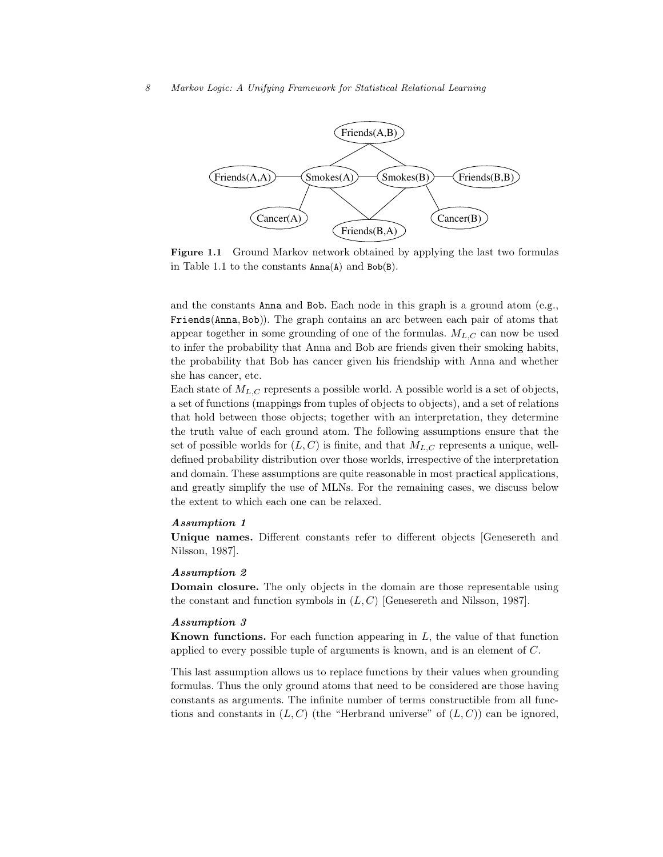

Figure 1.1 Ground Markov network obtained by applying the last two formulas in Table 1.1 to the constants Anna(A) and Bob(B).

and the constants Anna and Bob. Each node in this graph is a ground atom (e.g., Friends(Anna, Bob)). The graph contains an arc between each pair of atoms that appear together in some grounding of one of the formulas.  $M_{L,C}$  can now be used to infer the probability that Anna and Bob are friends given their smoking habits, the probability that Bob has cancer given his friendship with Anna and whether she has cancer, etc.

Each state of  $M_{L,C}$  represents a possible world. A possible world is a set of objects, a set of functions (mappings from tuples of objects to objects), and a set of relations that hold between those objects; together with an interpretation, they determine the truth value of each ground atom. The following assumptions ensure that the set of possible worlds for  $(L, C)$  is finite, and that  $M_{L,C}$  represents a unique, welldefined probability distribution over those worlds, irrespective of the interpretation and domain. These assumptions are quite reasonable in most practical applications, and greatly simplify the use of MLNs. For the remaining cases, we discuss below the extent to which each one can be relaxed.

## Assumption 1

Unique names. Different constants refer to different objects [Genesereth and Nilsson, 1987].

#### Assumption 2

Domain closure. The only objects in the domain are those representable using the constant and function symbols in  $(L, C)$  [Genesereth and Nilsson, 1987].

#### Assumption 3

**Known functions.** For each function appearing in  $L$ , the value of that function applied to every possible tuple of arguments is known, and is an element of C.

This last assumption allows us to replace functions by their values when grounding formulas. Thus the only ground atoms that need to be considered are those having constants as arguments. The infinite number of terms constructible from all functions and constants in  $(L, C)$  (the "Herbrand universe" of  $(L, C)$ ) can be ignored,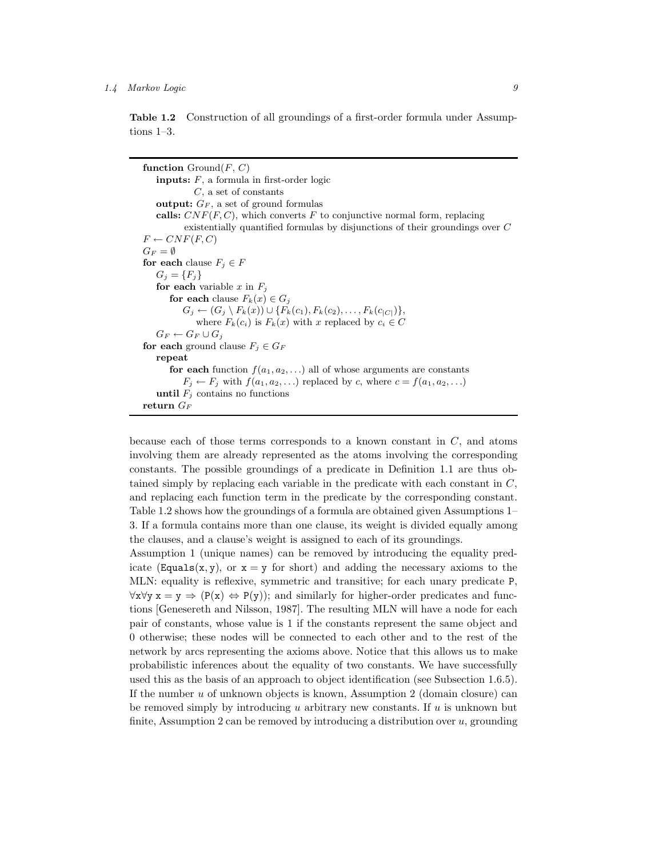#### 1.4 Markov Logic 9

Table 1.2 Construction of all groundings of a first-order formula under Assumptions 1–3.

function  $Ground(F, C)$ inputs:  $F$ , a formula in first-order logic C, a set of constants output:  $G_F$ , a set of ground formulas calls:  $CNF(F, C)$ , which converts F to conjunctive normal form, replacing existentially quantified formulas by disjunctions of their groundings over C  $F \leftarrow CNF(F, C)$  $G_F = \emptyset$ for each clause  $F_i \in F$  $G_i = \{F_i\}$ for each variable x in  $F_i$ for each clause  $F_k(x) \in G_j$  $G_i \leftarrow (G_i \setminus F_k(x)) \cup \{F_k(c_1), F_k(c_2), \ldots, F_k(c_{|C|})\},$ where  $F_k(c_i)$  is  $F_k(x)$  with x replaced by  $c_i \in C$  $G_F \leftarrow G_F \cup G_j$ for each ground clause  $F_i \in G_F$ repeat for each function  $f(a_1, a_2, \ldots)$  all of whose arguments are constants  $F_i \leftarrow F_i$  with  $f(a_1, a_2, \ldots)$  replaced by c, where  $c = f(a_1, a_2, \ldots)$ until  $F_j$  contains no functions return  $G_F$ 

because each of those terms corresponds to a known constant in  $C$ , and atoms involving them are already represented as the atoms involving the corresponding constants. The possible groundings of a predicate in Definition 1.1 are thus obtained simply by replacing each variable in the predicate with each constant in  $C$ , and replacing each function term in the predicate by the corresponding constant. Table 1.2 shows how the groundings of a formula are obtained given Assumptions 1– 3. If a formula contains more than one clause, its weight is divided equally among the clauses, and a clause's weight is assigned to each of its groundings.

Assumption 1 (unique names) can be removed by introducing the equality predicate (Equals(x, y), or  $x = y$  for short) and adding the necessary axioms to the MLN: equality is reflexive, symmetric and transitive; for each unary predicate P,  $\forall x \forall y \; x = y \Rightarrow (P(x) \Leftrightarrow P(y));$  and similarly for higher-order predicates and functions [Genesereth and Nilsson, 1987]. The resulting MLN will have a node for each pair of constants, whose value is 1 if the constants represent the same object and 0 otherwise; these nodes will be connected to each other and to the rest of the network by arcs representing the axioms above. Notice that this allows us to make probabilistic inferences about the equality of two constants. We have successfully used this as the basis of an approach to object identification (see Subsection 1.6.5). If the number  $u$  of unknown objects is known, Assumption 2 (domain closure) can be removed simply by introducing u arbitrary new constants. If  $u$  is unknown but finite, Assumption 2 can be removed by introducing a distribution over  $u$ , grounding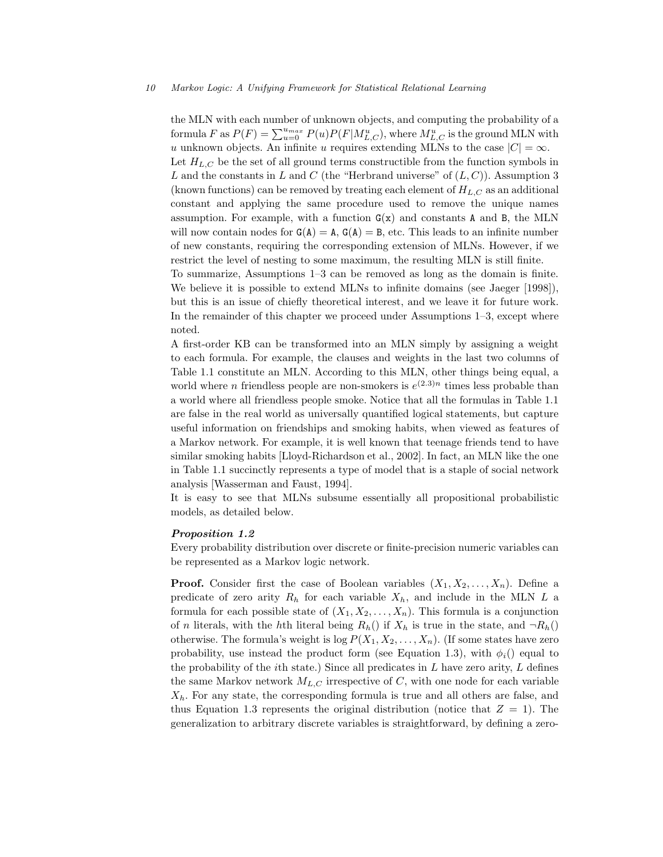#### 10 Markov Logic: A Unifying Framework for Statistical Relational Learning

the MLN with each number of unknown objects, and computing the probability of a formula F as  $P(F) = \sum_{u=0}^{u_{max}} P(u) P(F|M_{L,C}^u)$ , where  $M_{L,C}^u$  is the ground MLN with u unknown objects. An infinite u requires extending MLNs to the case  $|C| = \infty$ . Let  $H_{L,C}$  be the set of all ground terms constructible from the function symbols in L and the constants in L and C (the "Herbrand universe" of  $(L, C)$ ). Assumption 3 (known functions) can be removed by treating each element of  $H_{L,C}$  as an additional constant and applying the same procedure used to remove the unique names assumption. For example, with a function  $G(x)$  and constants A and B, the MLN will now contain nodes for  $G(A) = A$ ,  $G(A) = B$ , etc. This leads to an infinite number of new constants, requiring the corresponding extension of MLNs. However, if we restrict the level of nesting to some maximum, the resulting MLN is still finite.

To summarize, Assumptions 1–3 can be removed as long as the domain is finite. We believe it is possible to extend MLNs to infinite domains (see Jaeger [1998]), but this is an issue of chiefly theoretical interest, and we leave it for future work. In the remainder of this chapter we proceed under Assumptions 1–3, except where noted.

A first-order KB can be transformed into an MLN simply by assigning a weight to each formula. For example, the clauses and weights in the last two columns of Table 1.1 constitute an MLN. According to this MLN, other things being equal, a world where *n* friendless people are non-smokers is  $e^{(2.3)n}$  times less probable than a world where all friendless people smoke. Notice that all the formulas in Table 1.1 are false in the real world as universally quantified logical statements, but capture useful information on friendships and smoking habits, when viewed as features of a Markov network. For example, it is well known that teenage friends tend to have similar smoking habits [Lloyd-Richardson et al., 2002]. In fact, an MLN like the one in Table 1.1 succinctly represents a type of model that is a staple of social network analysis [Wasserman and Faust, 1994].

It is easy to see that MLNs subsume essentially all propositional probabilistic models, as detailed below.

#### Proposition 1.2

Every probability distribution over discrete or finite-precision numeric variables can be represented as a Markov logic network.

**Proof.** Consider first the case of Boolean variables  $(X_1, X_2, \ldots, X_n)$ . Define a predicate of zero arity  $R_h$  for each variable  $X_h$ , and include in the MLN L a formula for each possible state of  $(X_1, X_2, \ldots, X_n)$ . This formula is a conjunction of n literals, with the hth literal being  $R_h$ ) if  $X_h$  is true in the state, and  $\neg R_h$ otherwise. The formula's weight is  $\log P(X_1, X_2, \ldots, X_n)$ . (If some states have zero probability, use instead the product form (see Equation 1.3), with  $\phi_i$  equal to the probability of the *i*th state.) Since all predicates in  $L$  have zero arity,  $L$  defines the same Markov network  $M_{L,C}$  irrespective of C, with one node for each variable  $X_h$ . For any state, the corresponding formula is true and all others are false, and thus Equation 1.3 represents the original distribution (notice that  $Z = 1$ ). The generalization to arbitrary discrete variables is straightforward, by defining a zero-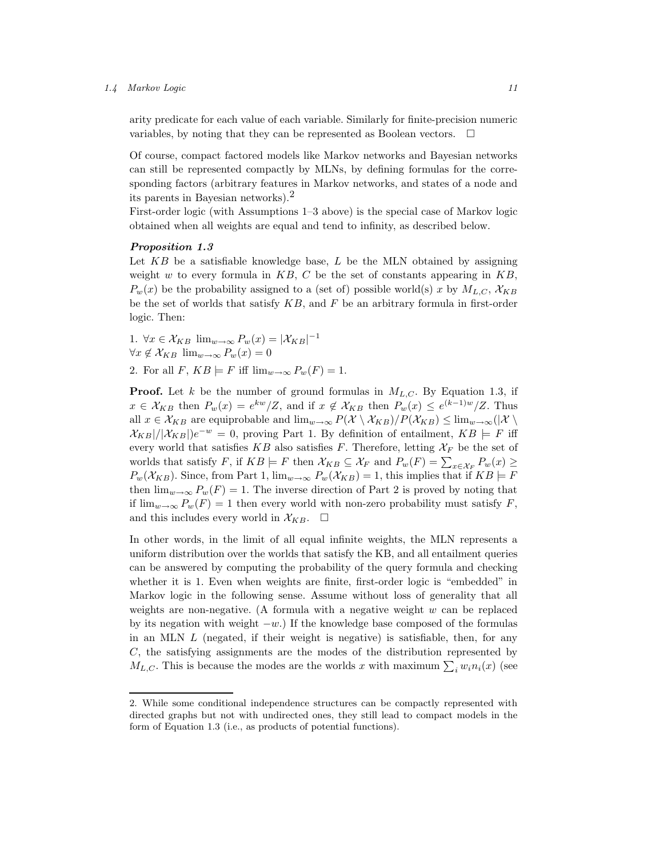#### 1.4 Markov Logic 11

arity predicate for each value of each variable. Similarly for finite-precision numeric variables, by noting that they can be represented as Boolean vectors.  $\Box$ 

Of course, compact factored models like Markov networks and Bayesian networks can still be represented compactly by MLNs, by defining formulas for the corresponding factors (arbitrary features in Markov networks, and states of a node and its parents in Bayesian networks).2

First-order logic (with Assumptions 1–3 above) is the special case of Markov logic obtained when all weights are equal and tend to infinity, as described below.

#### Proposition 1.3

Let  $KB$  be a satisfiable knowledge base,  $L$  be the MLN obtained by assigning weight w to every formula in  $KB, C$  be the set of constants appearing in  $KB$ ,  $P_w(x)$  be the probability assigned to a (set of) possible world(s) x by  $M_{L,C}$ ,  $\mathcal{X}_{KB}$ be the set of worlds that satisfy  $KB$ , and  $F$  be an arbitrary formula in first-order logic. Then:

1.  $\forall x \in \mathcal{X}_{KB}$   $\lim_{w \to \infty} P_w(x) = |\mathcal{X}_{KB}|^{-1}$  $\forall x \notin \mathcal{X}_{KB}$   $\lim_{w \to \infty} P_w(x) = 0$ 2. For all  $F, KB \models F \text{ iff } \lim_{w \to \infty} P_w(F) = 1.$ 

**Proof.** Let k be the number of ground formulas in  $M_{L,C}$ . By Equation 1.3, if  $x \in \mathcal{X}_{KB}$  then  $P_w(x) = e^{kw}/Z$ , and if  $x \notin \mathcal{X}_{KB}$  then  $P_w(x) \le e^{(k-1)w}/Z$ . Thus all  $x \in \mathcal{X}_{KB}$  are equiprobable and  $\lim_{w\to\infty} P(\mathcal{X} \setminus \mathcal{X}_{KB})/P(\mathcal{X}_{KB}) \leq \lim_{w\to\infty} (|\mathcal{X} \setminus \mathcal{X}_{KB})|$  $\mathcal{X}_{KB}|/|\mathcal{X}_{KB}|e^{-w} = 0$ , proving Part 1. By definition of entailment,  $KB \models F$  iff every world that satisfies KB also satisfies F. Therefore, letting  $\mathcal{X}_F$  be the set of worlds that satisfy F, if  $KB \models F$  then  $\mathcal{X}_{KB} \subseteq \mathcal{X}_F$  and  $P_w(F) = \sum_{x \in \mathcal{X}_F} P_w(x) \ge$  $P_w(\mathcal{X}_{KB})$ . Since, from Part 1,  $\lim_{w\to\infty} P_w(\mathcal{X}_{KB}) = 1$ , this implies that if  $KB \models F$ then  $\lim_{w\to\infty}P_w(F)=1$ . The inverse direction of Part 2 is proved by noting that if  $\lim_{w\to\infty} P_w(F) = 1$  then every world with non-zero probability must satisfy F, and this includes every world in  $\mathcal{X}_{KB}$ .  $\Box$ 

In other words, in the limit of all equal infinite weights, the MLN represents a uniform distribution over the worlds that satisfy the KB, and all entailment queries can be answered by computing the probability of the query formula and checking whether it is 1. Even when weights are finite, first-order logic is "embedded" in Markov logic in the following sense. Assume without loss of generality that all weights are non-negative. (A formula with a negative weight  $w$  can be replaced by its negation with weight  $-w$ .) If the knowledge base composed of the formulas in an MLN  $L$  (negated, if their weight is negative) is satisfiable, then, for any C, the satisfying assignments are the modes of the distribution represented by  $M_{L,C}$ . This is because the modes are the worlds x with maximum  $\sum_i w_i n_i(x)$  (see

<sup>2.</sup> While some conditional independence structures can be compactly represented with directed graphs but not with undirected ones, they still lead to compact models in the form of Equation 1.3 (i.e., as products of potential functions).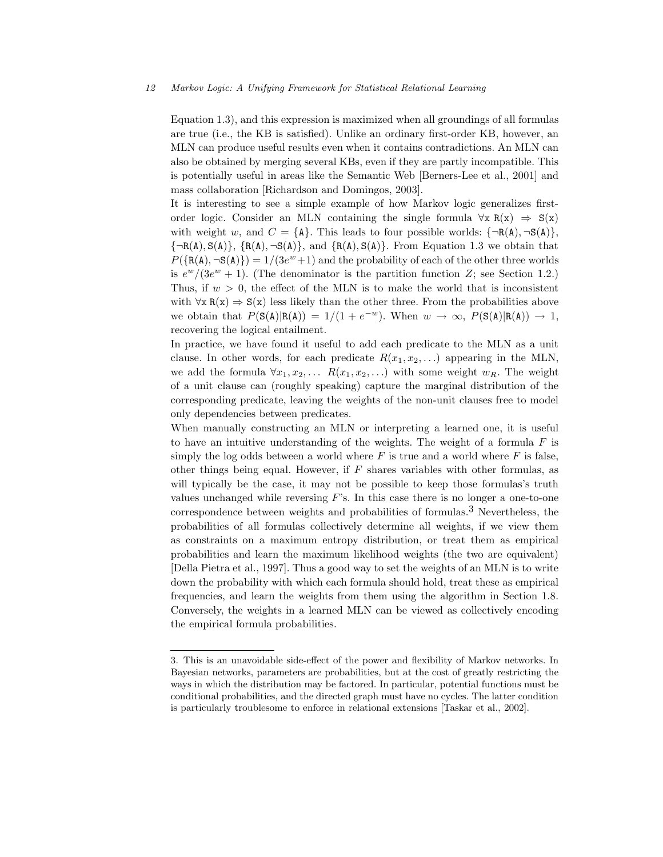#### 12 Markov Logic: A Unifying Framework for Statistical Relational Learning

Equation 1.3), and this expression is maximized when all groundings of all formulas are true (i.e., the KB is satisfied). Unlike an ordinary first-order KB, however, an MLN can produce useful results even when it contains contradictions. An MLN can also be obtained by merging several KBs, even if they are partly incompatible. This is potentially useful in areas like the Semantic Web [Berners-Lee et al., 2001] and mass collaboration [Richardson and Domingos, 2003].

It is interesting to see a simple example of how Markov logic generalizes firstorder logic. Consider an MLN containing the single formula  $\forall x R(x) \Rightarrow S(x)$ with weight w, and  $C = \{A\}$ . This leads to four possible worlds:  $\{\neg R(A), \neg S(A)\}$ ,  $\{\neg R(A), S(A)\}, \{R(A), \neg S(A)\}, \text{ and } \{R(A), S(A)\}.$  From Equation 1.3 we obtain that  $P({\{R(A), \neg S(A)\}}) = 1/(3e^w + 1)$  and the probability of each of the other three worlds is  $e^w/(3e^w+1)$ . (The denominator is the partition function Z; see Section 1.2.) Thus, if  $w > 0$ , the effect of the MLN is to make the world that is inconsistent with  $\forall x R(x) \Rightarrow S(x)$  less likely than the other three. From the probabilities above we obtain that  $P(S(A)|R(A)) = 1/(1 + e^{-w})$ . When  $w \to \infty$ ,  $P(S(A)|R(A)) \to 1$ , recovering the logical entailment.

In practice, we have found it useful to add each predicate to the MLN as a unit clause. In other words, for each predicate  $R(x_1, x_2, \ldots)$  appearing in the MLN, we add the formula  $\forall x_1, x_2, \ldots$   $R(x_1, x_2, \ldots)$  with some weight  $w_R$ . The weight of a unit clause can (roughly speaking) capture the marginal distribution of the corresponding predicate, leaving the weights of the non-unit clauses free to model only dependencies between predicates.

When manually constructing an MLN or interpreting a learned one, it is useful to have an intuitive understanding of the weights. The weight of a formula  $F$  is simply the log odds between a world where  $F$  is true and a world where  $F$  is false, other things being equal. However, if  $F$  shares variables with other formulas, as will typically be the case, it may not be possible to keep those formulas's truth values unchanged while reversing  $F$ 's. In this case there is no longer a one-to-one correspondence between weights and probabilities of formulas.<sup>3</sup> Nevertheless, the probabilities of all formulas collectively determine all weights, if we view them as constraints on a maximum entropy distribution, or treat them as empirical probabilities and learn the maximum likelihood weights (the two are equivalent) [Della Pietra et al., 1997]. Thus a good way to set the weights of an MLN is to write down the probability with which each formula should hold, treat these as empirical frequencies, and learn the weights from them using the algorithm in Section 1.8. Conversely, the weights in a learned MLN can be viewed as collectively encoding the empirical formula probabilities.

<sup>3.</sup> This is an unavoidable side-effect of the power and flexibility of Markov networks. In Bayesian networks, parameters are probabilities, but at the cost of greatly restricting the ways in which the distribution may be factored. In particular, potential functions must be conditional probabilities, and the directed graph must have no cycles. The latter condition is particularly troublesome to enforce in relational extensions [Taskar et al., 2002].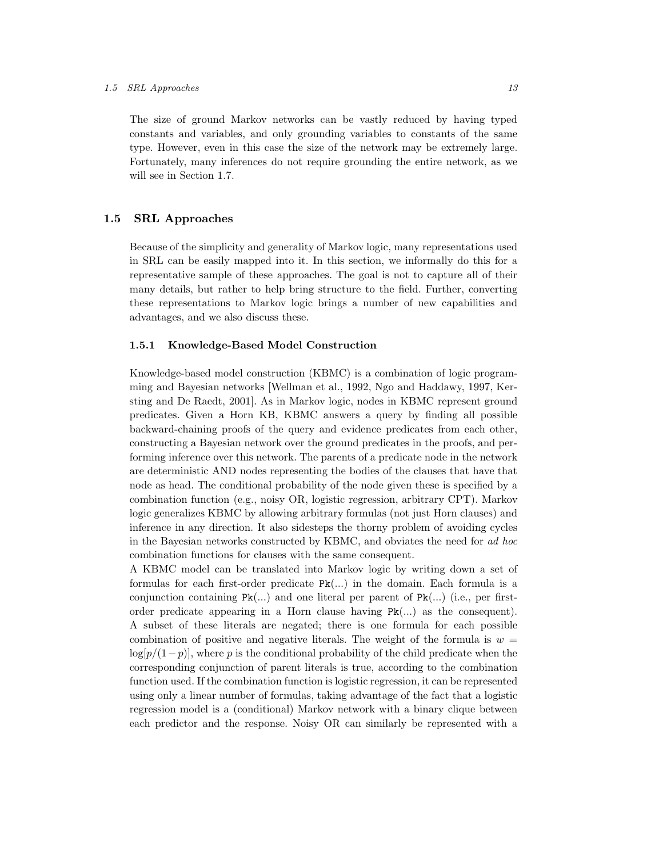#### 1.5 SRL Approaches 13

The size of ground Markov networks can be vastly reduced by having typed constants and variables, and only grounding variables to constants of the same type. However, even in this case the size of the network may be extremely large. Fortunately, many inferences do not require grounding the entire network, as we will see in Section 1.7.

## 1.5 SRL Approaches

Because of the simplicity and generality of Markov logic, many representations used in SRL can be easily mapped into it. In this section, we informally do this for a representative sample of these approaches. The goal is not to capture all of their many details, but rather to help bring structure to the field. Further, converting these representations to Markov logic brings a number of new capabilities and advantages, and we also discuss these.

#### 1.5.1 Knowledge-Based Model Construction

Knowledge-based model construction (KBMC) is a combination of logic programming and Bayesian networks [Wellman et al., 1992, Ngo and Haddawy, 1997, Kersting and De Raedt, 2001]. As in Markov logic, nodes in KBMC represent ground predicates. Given a Horn KB, KBMC answers a query by finding all possible backward-chaining proofs of the query and evidence predicates from each other, constructing a Bayesian network over the ground predicates in the proofs, and performing inference over this network. The parents of a predicate node in the network are deterministic AND nodes representing the bodies of the clauses that have that node as head. The conditional probability of the node given these is specified by a combination function (e.g., noisy OR, logistic regression, arbitrary CPT). Markov logic generalizes KBMC by allowing arbitrary formulas (not just Horn clauses) and inference in any direction. It also sidesteps the thorny problem of avoiding cycles in the Bayesian networks constructed by KBMC, and obviates the need for ad hoc combination functions for clauses with the same consequent.

A KBMC model can be translated into Markov logic by writing down a set of formulas for each first-order predicate  $P_k(...)$  in the domain. Each formula is a conjunction containing  $P_{k}$ (...) and one literal per parent of  $P_{k}$ (...) (i.e., per firstorder predicate appearing in a Horn clause having  $P_k(...)$  as the consequent). A subset of these literals are negated; there is one formula for each possible combination of positive and negative literals. The weight of the formula is  $w =$  $\log[p/(1-p)]$ , where p is the conditional probability of the child predicate when the corresponding conjunction of parent literals is true, according to the combination function used. If the combination function is logistic regression, it can be represented using only a linear number of formulas, taking advantage of the fact that a logistic regression model is a (conditional) Markov network with a binary clique between each predictor and the response. Noisy OR can similarly be represented with a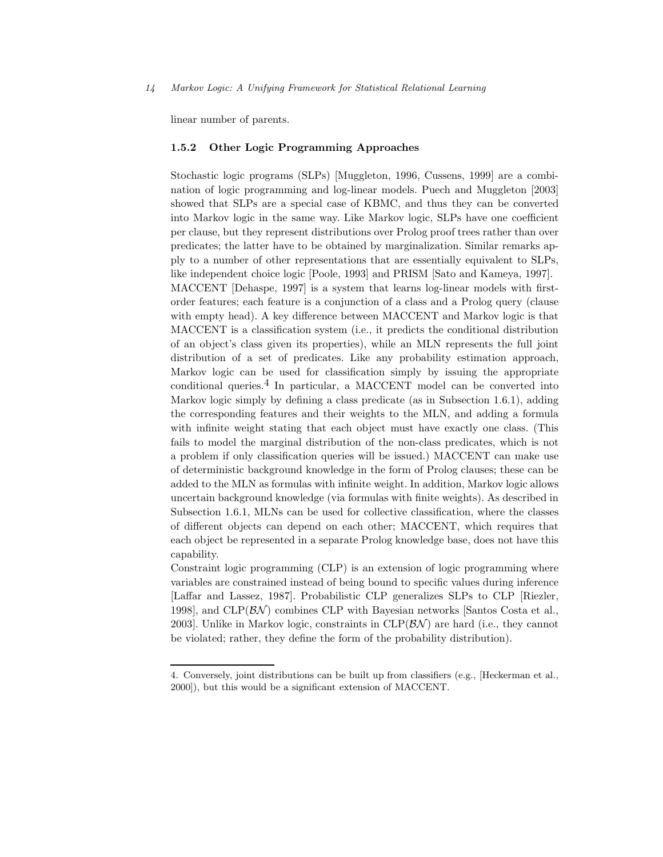linear number of parents.

## 1.5.2 Other Logic Programming Approaches

Stochastic logic programs (SLPs) [Muggleton, 1996, Cussens, 1999] are a combination of logic programming and log-linear models. Puech and Muggleton [2003] showed that SLPs are a special case of KBMC, and thus they can be converted into Markov logic in the same way. Like Markov logic, SLPs have one coefficient per clause, but they represent distributions over Prolog proof trees rather than over predicates; the latter have to be obtained by marginalization. Similar remarks apply to a number of other representations that are essentially equivalent to SLPs, like independent choice logic [Poole, 1993] and PRISM [Sato and Kameya, 1997]. MACCENT [Dehaspe, 1997] is a system that learns log-linear models with firstorder features; each feature is a conjunction of a class and a Prolog query (clause with empty head). A key difference between MACCENT and Markov logic is that MACCENT is a classification system (i.e., it predicts the conditional distribution of an object's class given its properties), while an MLN represents the full joint distribution of a set of predicates. Like any probability estimation approach, Markov logic can be used for classification simply by issuing the appropriate conditional queries.<sup>4</sup> In particular, a MACCENT model can be converted into Markov logic simply by defining a class predicate (as in Subsection 1.6.1), adding the corresponding features and their weights to the MLN, and adding a formula with infinite weight stating that each object must have exactly one class. (This fails to model the marginal distribution of the non-class predicates, which is not a problem if only classification queries will be issued.) MACCENT can make use of deterministic background knowledge in the form of Prolog clauses; these can be added to the MLN as formulas with infinite weight. In addition, Markov logic allows uncertain background knowledge (via formulas with finite weights). As described in Subsection 1.6.1, MLNs can be used for collective classification, where the classes of different objects can depend on each other; MACCENT, which requires that each object be represented in a separate Prolog knowledge base, does not have this capability.

Constraint logic programming (CLP) is an extension of logic programming where variables are constrained instead of being bound to specific values during inference [Laffar and Lassez, 1987]. Probabilistic CLP generalizes SLPs to CLP [Riezler, 1998], and CLP(BN) combines CLP with Bayesian networks [Santos Costa et al., 2003]. Unlike in Markov logic, constraints in  $CLP(\mathcal{BN})$  are hard (i.e., they cannot be violated; rather, they define the form of the probability distribution).

<sup>4.</sup> Conversely, joint distributions can be built up from classifiers (e.g., [Heckerman et al., 2000]), but this would be a significant extension of MACCENT.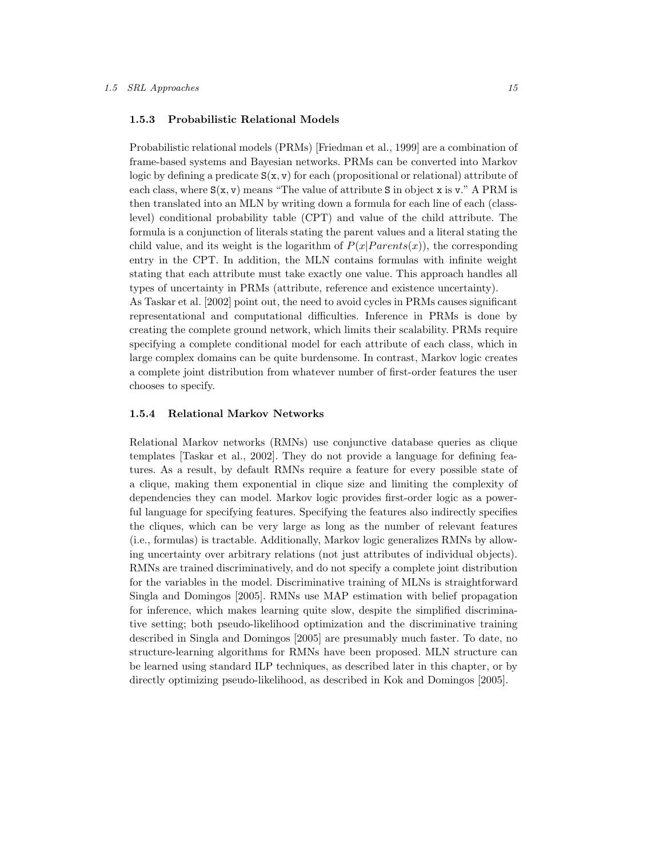## 1.5.3 Probabilistic Relational Models

Probabilistic relational models (PRMs) [Friedman et al., 1999] are a combination of frame-based systems and Bayesian networks. PRMs can be converted into Markov logic by defining a predicate  $S(x, v)$  for each (propositional or relational) attribute of each class, where  $S(x, v)$  means "The value of attribute S in object x is v." A PRM is then translated into an MLN by writing down a formula for each line of each (classlevel) conditional probability table (CPT) and value of the child attribute. The formula is a conjunction of literals stating the parent values and a literal stating the child value, and its weight is the logarithm of  $P(x|Parents(x))$ , the corresponding entry in the CPT. In addition, the MLN contains formulas with infinite weight stating that each attribute must take exactly one value. This approach handles all types of uncertainty in PRMs (attribute, reference and existence uncertainty).

As Taskar et al. [2002] point out, the need to avoid cycles in PRMs causes significant representational and computational difficulties. Inference in PRMs is done by creating the complete ground network, which limits their scalability. PRMs require specifying a complete conditional model for each attribute of each class, which in large complex domains can be quite burdensome. In contrast, Markov logic creates a complete joint distribution from whatever number of first-order features the user chooses to specify.

## 1.5.4 Relational Markov Networks

Relational Markov networks (RMNs) use conjunctive database queries as clique templates [Taskar et al., 2002]. They do not provide a language for defining features. As a result, by default RMNs require a feature for every possible state of a clique, making them exponential in clique size and limiting the complexity of dependencies they can model. Markov logic provides first-order logic as a powerful language for specifying features. Specifying the features also indirectly specifies the cliques, which can be very large as long as the number of relevant features (i.e., formulas) is tractable. Additionally, Markov logic generalizes RMNs by allowing uncertainty over arbitrary relations (not just attributes of individual objects). RMNs are trained discriminatively, and do not specify a complete joint distribution for the variables in the model. Discriminative training of MLNs is straightforward Singla and Domingos [2005]. RMNs use MAP estimation with belief propagation for inference, which makes learning quite slow, despite the simplified discriminative setting; both pseudo-likelihood optimization and the discriminative training described in Singla and Domingos [2005] are presumably much faster. To date, no structure-learning algorithms for RMNs have been proposed. MLN structure can be learned using standard ILP techniques, as described later in this chapter, or by directly optimizing pseudo-likelihood, as described in Kok and Domingos [2005].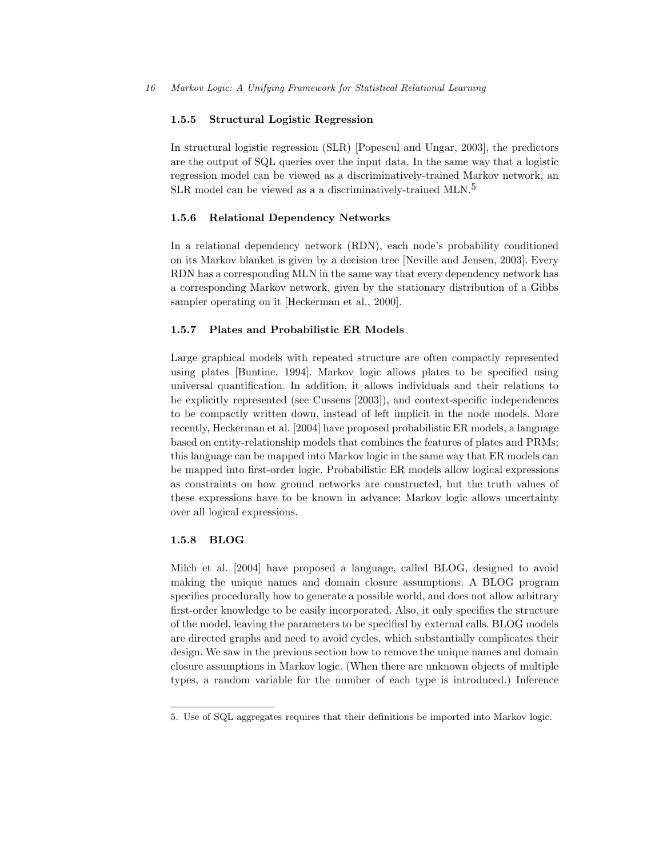## 1.5.5 Structural Logistic Regression

In structural logistic regression (SLR) [Popescul and Ungar, 2003], the predictors are the output of SQL queries over the input data. In the same way that a logistic regression model can be viewed as a discriminatively-trained Markov network, an SLR model can be viewed as a a discriminatively-trained MLN.<sup>5</sup>

## 1.5.6 Relational Dependency Networks

In a relational dependency network (RDN), each node's probability conditioned on its Markov blanket is given by a decision tree [Neville and Jensen, 2003]. Every RDN has a corresponding MLN in the same way that every dependency network has a corresponding Markov network, given by the stationary distribution of a Gibbs sampler operating on it [Heckerman et al., 2000].

## 1.5.7 Plates and Probabilistic ER Models

Large graphical models with repeated structure are often compactly represented using plates [Buntine, 1994]. Markov logic allows plates to be specified using universal quantification. In addition, it allows individuals and their relations to be explicitly represented (see Cussens [2003]), and context-specific independences to be compactly written down, instead of left implicit in the node models. More recently, Heckerman et al. [2004] have proposed probabilistic ER models, a language based on entity-relationship models that combines the features of plates and PRMs; this language can be mapped into Markov logic in the same way that ER models can be mapped into first-order logic. Probabilistic ER models allow logical expressions as constraints on how ground networks are constructed, but the truth values of these expressions have to be known in advance; Markov logic allows uncertainty over all logical expressions.

## 1.5.8 BLOG

Milch et al. [2004] have proposed a language, called BLOG, designed to avoid making the unique names and domain closure assumptions. A BLOG program specifies procedurally how to generate a possible world, and does not allow arbitrary first-order knowledge to be easily incorporated. Also, it only specifies the structure of the model, leaving the parameters to be specified by external calls. BLOG models are directed graphs and need to avoid cycles, which substantially complicates their design. We saw in the previous section how to remove the unique names and domain closure assumptions in Markov logic. (When there are unknown objects of multiple types, a random variable for the number of each type is introduced.) Inference

<sup>5.</sup> Use of SQL aggregates requires that their definitions be imported into Markov logic.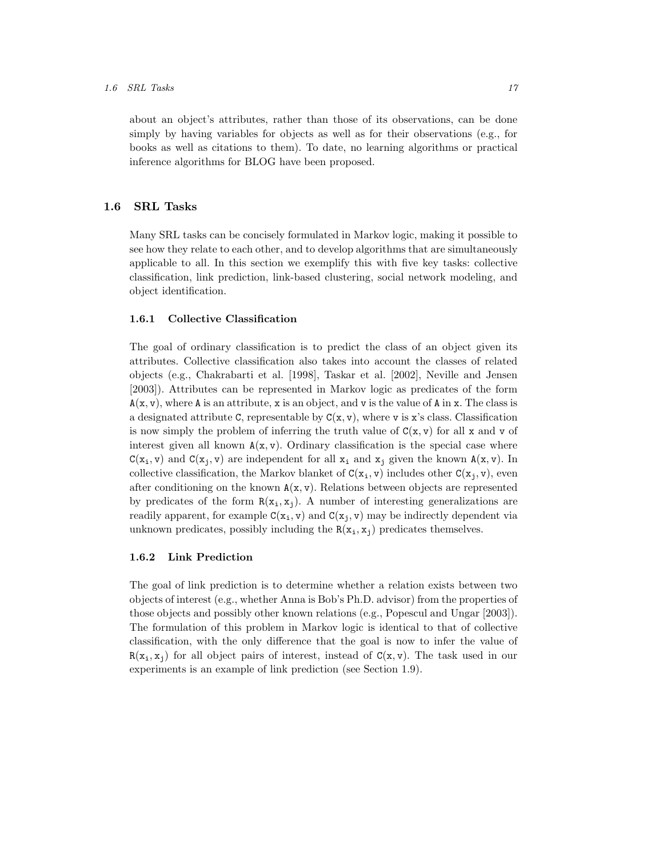about an object's attributes, rather than those of its observations, can be done simply by having variables for objects as well as for their observations (e.g., for books as well as citations to them). To date, no learning algorithms or practical inference algorithms for BLOG have been proposed.

#### 1.6 SRL Tasks

Many SRL tasks can be concisely formulated in Markov logic, making it possible to see how they relate to each other, and to develop algorithms that are simultaneously applicable to all. In this section we exemplify this with five key tasks: collective classification, link prediction, link-based clustering, social network modeling, and object identification.

#### 1.6.1 Collective Classification

The goal of ordinary classification is to predict the class of an object given its attributes. Collective classification also takes into account the classes of related objects (e.g., Chakrabarti et al. [1998], Taskar et al. [2002], Neville and Jensen [2003]). Attributes can be represented in Markov logic as predicates of the form  $A(x, y)$ , where A is an attribute, x is an object, and v is the value of A in x. The class is a designated attribute C, representable by  $C(x, v)$ , where v is x's class. Classification is now simply the problem of inferring the truth value of  $C(x, y)$  for all x and v of interest given all known  $A(x, y)$ . Ordinary classification is the special case where  $C(x_i, v)$  and  $C(x_j, v)$  are independent for all  $x_i$  and  $x_j$  given the known  $A(x, v)$ . In collective classification, the Markov blanket of  $C(x_i, v)$  includes other  $C(x_i, v)$ , even after conditioning on the known  $A(x, y)$ . Relations between objects are represented by predicates of the form  $R(x_i, x_j)$ . A number of interesting generalizations are readily apparent, for example  $C(x_i, v)$  and  $C(x_i, v)$  may be indirectly dependent via unknown predicates, possibly including the  $R(x_i, x_j)$  predicates themselves.

## 1.6.2 Link Prediction

The goal of link prediction is to determine whether a relation exists between two objects of interest (e.g., whether Anna is Bob's Ph.D. advisor) from the properties of those objects and possibly other known relations (e.g., Popescul and Ungar [2003]). The formulation of this problem in Markov logic is identical to that of collective classification, with the only difference that the goal is now to infer the value of  $R(x_i, x_i)$  for all object pairs of interest, instead of  $C(x, y)$ . The task used in our experiments is an example of link prediction (see Section 1.9).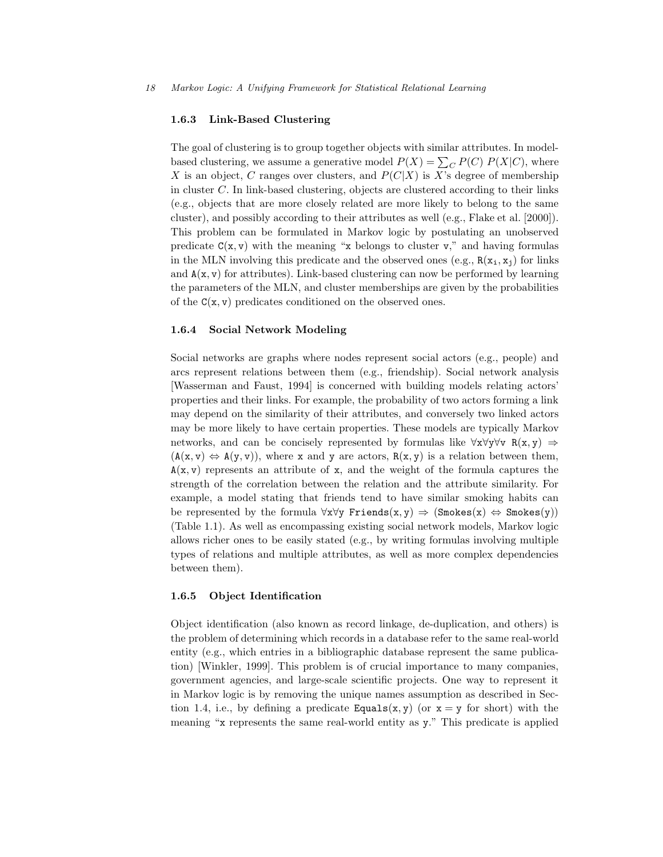## 1.6.3 Link-Based Clustering

The goal of clustering is to group together objects with similar attributes. In modelbased clustering, we assume a generative model  $P(X) = \sum_{C} P(C) P(X|C)$ , where X is an object, C ranges over clusters, and  $P(C|X)$  is X's degree of membership in cluster C. In link-based clustering, objects are clustered according to their links (e.g., objects that are more closely related are more likely to belong to the same cluster), and possibly according to their attributes as well (e.g., Flake et al. [2000]). This problem can be formulated in Markov logic by postulating an unobserved predicate  $C(x, y)$  with the meaning "x belongs to cluster v," and having formulas in the MLN involving this predicate and the observed ones (e.g.,  $R(x_i, x_i)$ ) for links and  $A(x, y)$  for attributes). Link-based clustering can now be performed by learning the parameters of the MLN, and cluster memberships are given by the probabilities of the  $C(x, y)$  predicates conditioned on the observed ones.

#### 1.6.4 Social Network Modeling

Social networks are graphs where nodes represent social actors (e.g., people) and arcs represent relations between them (e.g., friendship). Social network analysis [Wasserman and Faust, 1994] is concerned with building models relating actors' properties and their links. For example, the probability of two actors forming a link may depend on the similarity of their attributes, and conversely two linked actors may be more likely to have certain properties. These models are typically Markov networks, and can be concisely represented by formulas like  $\forall x \forall y \forall v \ R(x, y) \Rightarrow$  $(A(x, y) \Leftrightarrow A(y, y))$ , where x and y are actors,  $R(x, y)$  is a relation between them,  $A(x, y)$  represents an attribute of x, and the weight of the formula captures the strength of the correlation between the relation and the attribute similarity. For example, a model stating that friends tend to have similar smoking habits can be represented by the formula  $\forall x \forall y$  Friends $(x, y) \Rightarrow (\text{Snokes}(x) \Leftrightarrow \text{Snokes}(y))$ (Table 1.1). As well as encompassing existing social network models, Markov logic allows richer ones to be easily stated (e.g., by writing formulas involving multiple types of relations and multiple attributes, as well as more complex dependencies between them).

#### 1.6.5 Object Identification

Object identification (also known as record linkage, de-duplication, and others) is the problem of determining which records in a database refer to the same real-world entity (e.g., which entries in a bibliographic database represent the same publication) [Winkler, 1999]. This problem is of crucial importance to many companies, government agencies, and large-scale scientific projects. One way to represent it in Markov logic is by removing the unique names assumption as described in Section 1.4, i.e., by defining a predicate  $\text{Equals}(x, y)$  (or  $x = y$  for short) with the meaning "x represents the same real-world entity as y." This predicate is applied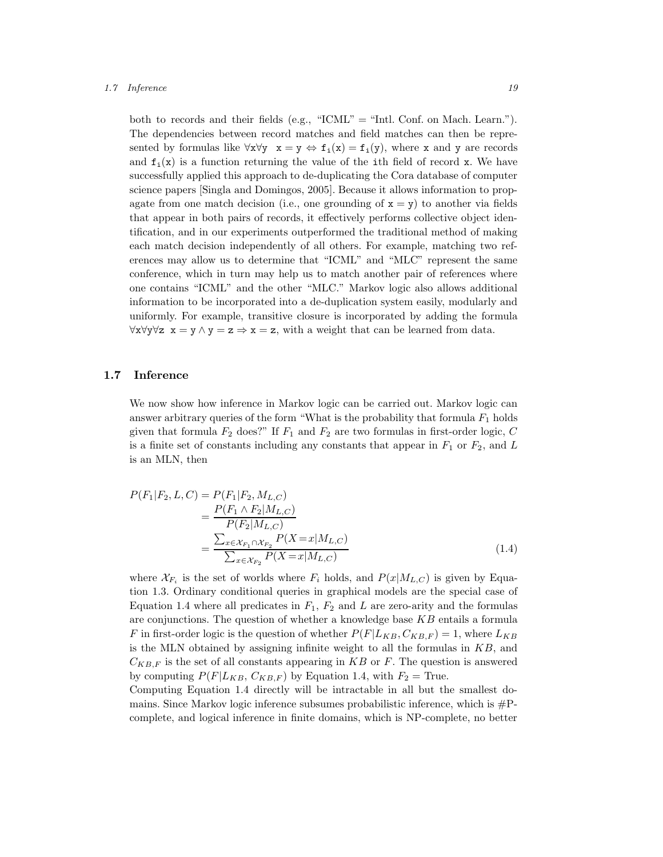#### 1.7 Inference 19

both to records and their fields (e.g., "ICML" = "Intl. Conf. on Mach. Learn."). The dependencies between record matches and field matches can then be represented by formulas like  $\forall x \forall y \ x = y \Leftrightarrow f_i(x) = f_i(y)$ , where x and y are records and  $f_i(x)$  is a function returning the value of the ith field of record x. We have successfully applied this approach to de-duplicating the Cora database of computer science papers [Singla and Domingos, 2005]. Because it allows information to propagate from one match decision (i.e., one grounding of  $x = y$ ) to another via fields that appear in both pairs of records, it effectively performs collective object identification, and in our experiments outperformed the traditional method of making each match decision independently of all others. For example, matching two references may allow us to determine that "ICML" and "MLC" represent the same conference, which in turn may help us to match another pair of references where one contains "ICML" and the other "MLC." Markov logic also allows additional information to be incorporated into a de-duplication system easily, modularly and uniformly. For example, transitive closure is incorporated by adding the formula  $\forall$ x $\forall$ y $\forall$ z x = y  $\land$  y = z  $\Rightarrow$  x = z, with a weight that can be learned from data.

## 1.7 Inference

We now show how inference in Markov logic can be carried out. Markov logic can answer arbitrary queries of the form "What is the probability that formula  $F_1$  holds given that formula  $F_2$  does?" If  $F_1$  and  $F_2$  are two formulas in first-order logic, C is a finite set of constants including any constants that appear in  $F_1$  or  $F_2$ , and  $L$ is an MLN, then

$$
P(F_1|F_2, L, C) = P(F_1|F_2, M_{L,C})
$$
  
= 
$$
\frac{P(F_1 \wedge F_2|M_{L,C})}{P(F_2|M_{L,C})}
$$
  
= 
$$
\frac{\sum_{x \in \mathcal{X}_{F_1} \cap \mathcal{X}_{F_2}} P(X = x|M_{L,C})}{\sum_{x \in \mathcal{X}_{F_2}} P(X = x|M_{L,C})}
$$
(1.4)

where  $\mathcal{X}_{F_i}$  is the set of worlds where  $F_i$  holds, and  $P(x|M_{L,C})$  is given by Equation 1.3. Ordinary conditional queries in graphical models are the special case of Equation 1.4 where all predicates in  $F_1$ ,  $F_2$  and L are zero-arity and the formulas are conjunctions. The question of whether a knowledge base  $KB$  entails a formula F in first-order logic is the question of whether  $P(F|L_{KB}, C_{KB,F}) = 1$ , where  $L_{KB}$ is the MLN obtained by assigning infinite weight to all the formulas in  $KB$ , and  $C_{KB,F}$  is the set of all constants appearing in KB or F. The question is answered by computing  $P(F|L_{KB}, C_{KB,F})$  by Equation 1.4, with  $F_2$  = True.

Computing Equation 1.4 directly will be intractable in all but the smallest domains. Since Markov logic inference subsumes probabilistic inference, which is  $\#P$ complete, and logical inference in finite domains, which is NP-complete, no better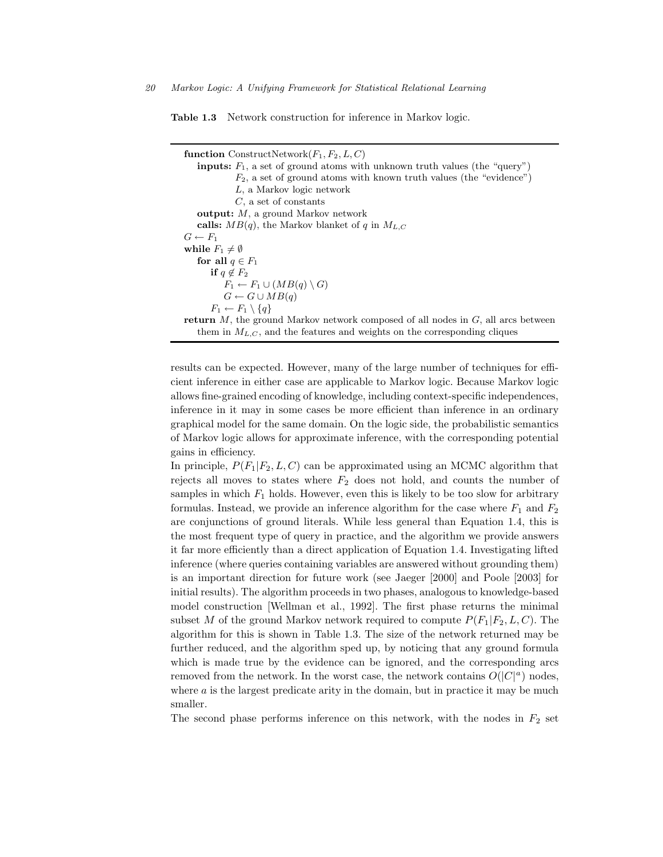Table 1.3 Network construction for inference in Markov logic.

function ConstructNetwork $(F_1, F_2, L, C)$ **inputs:**  $F_1$ , a set of ground atoms with unknown truth values (the "query")  $F_2$ , a set of ground atoms with known truth values (the "evidence") L, a Markov logic network C, a set of constants output: M, a ground Markov network calls:  $MB(q)$ , the Markov blanket of q in  $M_{L,C}$  $G \leftarrow F_1$ while  $F_1 \neq \emptyset$ for all  $q \in F_1$ if  $q \notin F_2$  $F_1 \leftarrow F_1 \cup (MB(q) \setminus G)$  $G \leftarrow G \cup MB(q)$  $F_1 \leftarrow F_1 \setminus \{q\}$ return  $M$ , the ground Markov network composed of all nodes in  $G$ , all arcs between them in  $M_{L,C}$ , and the features and weights on the corresponding cliques

results can be expected. However, many of the large number of techniques for efficient inference in either case are applicable to Markov logic. Because Markov logic allows fine-grained encoding of knowledge, including context-specific independences, inference in it may in some cases be more efficient than inference in an ordinary graphical model for the same domain. On the logic side, the probabilistic semantics of Markov logic allows for approximate inference, with the corresponding potential gains in efficiency.

In principle,  $P(F_1|F_2, L, C)$  can be approximated using an MCMC algorithm that rejects all moves to states where  $F_2$  does not hold, and counts the number of samples in which  $F_1$  holds. However, even this is likely to be too slow for arbitrary formulas. Instead, we provide an inference algorithm for the case where  $F_1$  and  $F_2$ are conjunctions of ground literals. While less general than Equation 1.4, this is the most frequent type of query in practice, and the algorithm we provide answers it far more efficiently than a direct application of Equation 1.4. Investigating lifted inference (where queries containing variables are answered without grounding them) is an important direction for future work (see Jaeger [2000] and Poole [2003] for initial results). The algorithm proceeds in two phases, analogousto knowledge-based model construction [Wellman et al., 1992]. The first phase returns the minimal subset M of the ground Markov network required to compute  $P(F_1|F_2, L, C)$ . The algorithm for this is shown in Table 1.3. The size of the network returned may be further reduced, and the algorithm sped up, by noticing that any ground formula which is made true by the evidence can be ignored, and the corresponding arcs removed from the network. In the worst case, the network contains  $O(|C|^a)$  nodes, where  $a$  is the largest predicate arity in the domain, but in practice it may be much smaller.

The second phase performs inference on this network, with the nodes in  $F_2$  set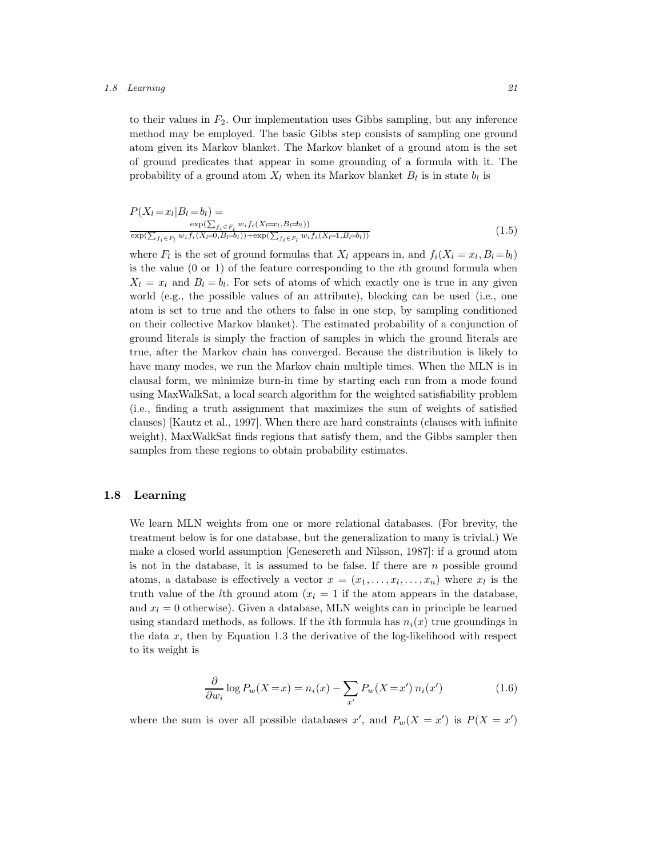#### 1.8 Learning 21

to their values in  $F_2$ . Our implementation uses Gibbs sampling, but any inference method may be employed. The basic Gibbs step consists of sampling one ground atom given its Markov blanket. The Markov blanket of a ground atom is the set of ground predicates that appear in some grounding of a formula with it. The probability of a ground atom  $X_l$  when its Markov blanket  $B_l$  is in state  $b_l$  is

$$
P(X_l = x_l | B_l = b_l) = \frac{\exp(\sum_{f_i \in F_l} w_i f_i (X_l = x_l, B_l = b_l))}{\exp(\sum_{f_i \in F_l} w_i f_i (X_l = 0, B_l = b_l)) + \exp(\sum_{f_i \in F_l} w_i f_i (X_l = 1, B_l = b_l))}
$$
(1.5)

where  $F_l$  is the set of ground formulas that  $X_l$  appears in, and  $f_i(X_l = x_l, B_l = b_l)$ is the value (0 or 1) of the feature corresponding to the ith ground formula when  $X_l = x_l$  and  $B_l = b_l$ . For sets of atoms of which exactly one is true in any given world (e.g., the possible values of an attribute), blocking can be used (i.e., one atom is set to true and the others to false in one step, by sampling conditioned on their collective Markov blanket). The estimated probability of a conjunction of ground literals is simply the fraction of samples in which the ground literals are true, after the Markov chain has converged. Because the distribution is likely to have many modes, we run the Markov chain multiple times. When the MLN is in clausal form, we minimize burn-in time by starting each run from a mode found using MaxWalkSat, a local search algorithm for the weighted satisfiability problem (i.e., finding a truth assignment that maximizes the sum of weights of satisfied clauses) [Kautz et al., 1997]. When there are hard constraints (clauses with infinite weight), MaxWalkSat finds regions that satisfy them, and the Gibbs sampler then samples from these regions to obtain probability estimates.

## 1.8 Learning

We learn MLN weights from one or more relational databases. (For brevity, the treatment below is for one database, but the generalization to many is trivial.) We make a closed world assumption [Genesereth and Nilsson, 1987]: if a ground atom is not in the database, it is assumed to be false. If there are  $n$  possible ground atoms, a database is effectively a vector  $x = (x_1, \ldots, x_l, \ldots, x_n)$  where  $x_l$  is the truth value of the *l*th ground atom  $(x_l = 1$  if the atom appears in the database, and  $x_l = 0$  otherwise). Given a database, MLN weights can in principle be learned using standard methods, as follows. If the *i*th formula has  $n_i(x)$  true groundings in the data  $x$ , then by Equation 1.3 the derivative of the log-likelihood with respect to its weight is

$$
\frac{\partial}{\partial w_i} \log P_w(X = x) = n_i(x) - \sum_{x'} P_w(X = x') n_i(x')
$$
\n(1.6)

where the sum is over all possible databases x', and  $P_w(X = x')$  is  $P(X = x')$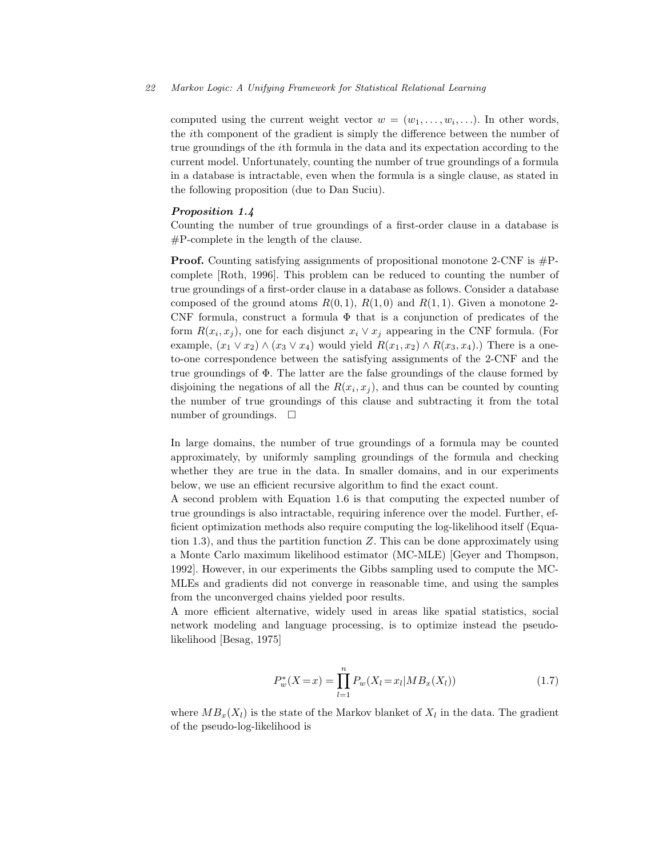computed using the current weight vector  $w = (w_1, \ldots, w_i, \ldots)$ . In other words, the ith component of the gradient is simply the difference between the number of true groundings of the ith formula in the data and its expectation according to the current model. Unfortunately, counting the number of true groundings of a formula in a database is intractable, even when the formula is a single clause, as stated in the following proposition (due to Dan Suciu).

## Proposition 1.4

Counting the number of true groundings of a first-order clause in a database is #P-complete in the length of the clause.

**Proof.** Counting satisfying assignments of propositional monotone 2-CNF is  $#P$ complete [Roth, 1996]. This problem can be reduced to counting the number of true groundings of a first-order clause in a database as follows. Consider a database composed of the ground atoms  $R(0, 1)$ ,  $R(1, 0)$  and  $R(1, 1)$ . Given a monotone 2-CNF formula, construct a formula  $\Phi$  that is a conjunction of predicates of the form  $R(x_i, x_j)$ , one for each disjunct  $x_i \vee x_j$  appearing in the CNF formula. (For example,  $(x_1 \vee x_2) \wedge (x_3 \vee x_4)$  would yield  $R(x_1, x_2) \wedge R(x_3, x_4)$ .) There is a oneto-one correspondence between the satisfying assignments of the 2-CNF and the true groundings of Φ. The latter are the false groundings of the clause formed by disjoining the negations of all the  $R(x_i, x_j)$ , and thus can be counted by counting the number of true groundings of this clause and subtracting it from the total number of groundings.  $\square$ 

In large domains, the number of true groundings of a formula may be counted approximately, by uniformly sampling groundings of the formula and checking whether they are true in the data. In smaller domains, and in our experiments below, we use an efficient recursive algorithm to find the exact count.

A second problem with Equation 1.6 is that computing the expected number of true groundings is also intractable, requiring inference over the model. Further, efficient optimization methods also require computing the log-likelihood itself (Equation 1.3), and thus the partition function Z. This can be done approximately using a Monte Carlo maximum likelihood estimator (MC-MLE) [Geyer and Thompson, 1992]. However, in our experiments the Gibbs sampling used to compute the MC-MLEs and gradients did not converge in reasonable time, and using the samples from the unconverged chains yielded poor results.

A more efficient alternative, widely used in areas like spatial statistics, social network modeling and language processing, is to optimize instead the pseudolikelihood [Besag, 1975]

$$
P_w^*(X = x) = \prod_{l=1}^n P_w(X_l = x_l | MB_x(X_l))
$$
\n(1.7)

where  $MB_x(X_l)$  is the state of the Markov blanket of  $X_l$  in the data. The gradient of the pseudo-log-likelihood is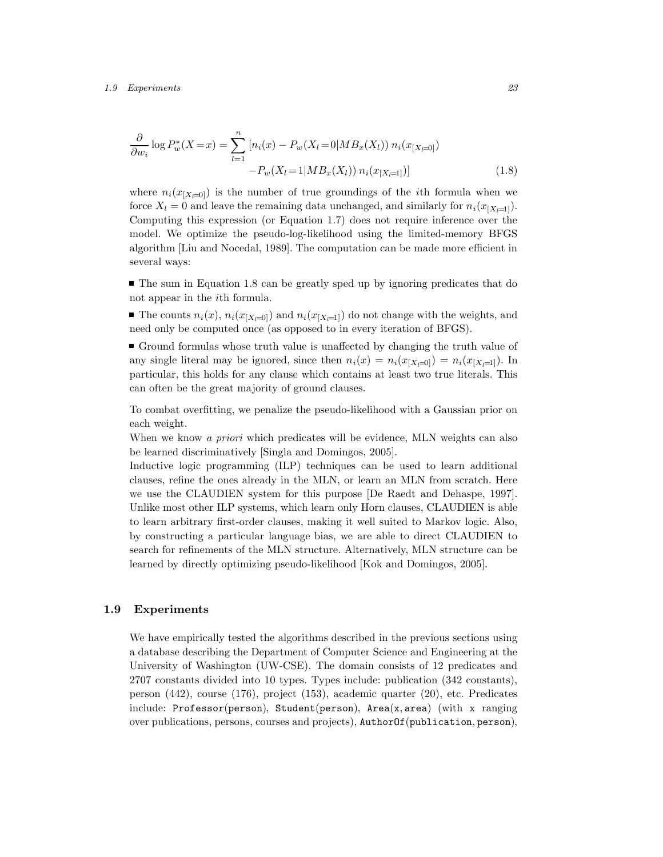$$
\frac{\partial}{\partial w_i} \log P_w^*(X = x) = \sum_{l=1}^n \left[ n_i(x) - P_w(X_l = 0 | MB_x(X_l)) n_i(x_{[X_l=0]}) -P_w(X_l = 1 | MB_x(X_l)) n_i(x_{[X_l=1]}) \right]
$$
\n(1.8)

where  $n_i(x_{[X_i=0]})$  is the number of true groundings of the *i*th formula when we force  $X_l = 0$  and leave the remaining data unchanged, and similarly for  $n_i(x_{[X_l=1]})$ . Computing this expression (or Equation 1.7) does not require inference over the model. We optimize the pseudo-log-likelihood using the limited-memory BFGS algorithm [Liu and Nocedal, 1989]. The computation can be made more efficient in several ways:

The sum in Equation 1.8 can be greatly sped up by ignoring predicates that do not appear in the ith formula.

The counts  $n_i(x)$ ,  $n_i(x_{[X_i=0]})$  and  $n_i(x_{[X_i=1]})$  do not change with the weights, and need only be computed once (as opposed to in every iteration of BFGS).

Ground formulas whose truth value is unaffected by changing the truth value of any single literal may be ignored, since then  $n_i(x) = n_i(x_{[X_i=0]}) = n_i(x_{[X_i=1]})$ . In particular, this holds for any clause which contains at least two true literals. This can often be the great majority of ground clauses.

To combat overfitting, we penalize the pseudo-likelihood with a Gaussian prior on each weight.

When we know *a priori* which predicates will be evidence, MLN weights can also be learned discriminatively [Singla and Domingos, 2005].

Inductive logic programming (ILP) techniques can be used to learn additional clauses, refine the ones already in the MLN, or learn an MLN from scratch. Here we use the CLAUDIEN system for this purpose [De Raedt and Dehaspe, 1997]. Unlike most other ILP systems, which learn only Horn clauses, CLAUDIEN is able to learn arbitrary first-order clauses, making it well suited to Markov logic. Also, by constructing a particular language bias, we are able to direct CLAUDIEN to search for refinements of the MLN structure. Alternatively, MLN structure can be learned by directly optimizing pseudo-likelihood [Kok and Domingos, 2005].

## 1.9 Experiments

We have empirically tested the algorithms described in the previous sections using a database describing the Department of Computer Science and Engineering at the University of Washington (UW-CSE). The domain consists of 12 predicates and 2707 constants divided into 10 types. Types include: publication (342 constants), person (442), course (176), project (153), academic quarter (20), etc. Predicates include: Professor(person), Student(person), Area(x, area) (with x ranging over publications, persons, courses and projects), AuthorOf(publication, person),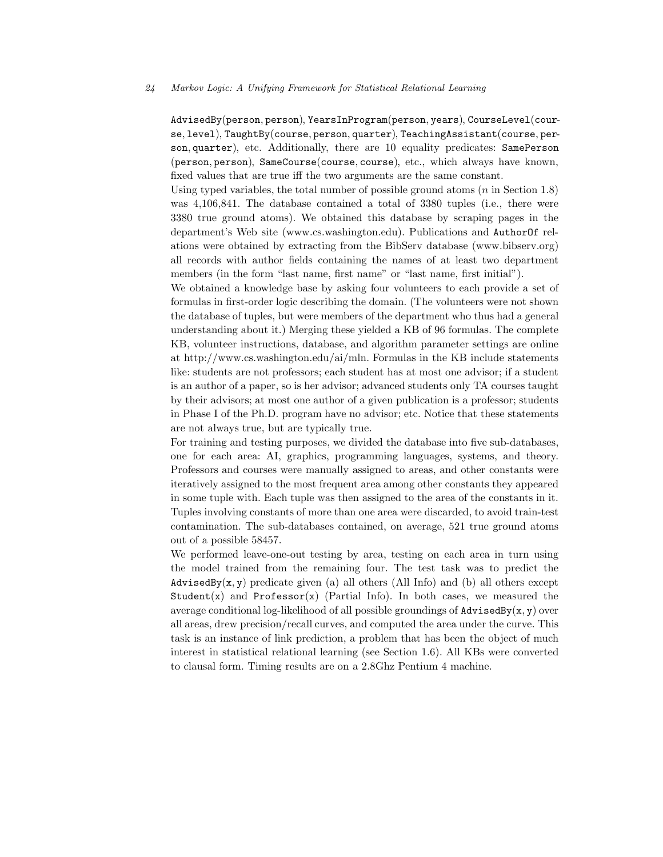#### 24 Markov Logic: A Unifying Framework for Statistical Relational Learning

AdvisedBy(person, person), YearsInProgram(person, years), CourseLevel(course, level), TaughtBy(course, person, quarter), TeachingAssistant(course, person, quarter), etc. Additionally, there are 10 equality predicates: SamePerson (person, person), SameCourse(course, course), etc., which always have known, fixed values that are true iff the two arguments are the same constant.

Using typed variables, the total number of possible ground atoms  $(n \text{ in Section 1.8})$ was 4,106,841. The database contained a total of 3380 tuples (i.e., there were 3380 true ground atoms). We obtained this database by scraping pages in the department's Web site (www.cs.washington.edu). Publications and AuthorOf relations were obtained by extracting from the BibServ database (www.bibserv.org) all records with author fields containing the names of at least two department members (in the form "last name, first name" or "last name, first initial").

We obtained a knowledge base by asking four volunteers to each provide a set of formulas in first-order logic describing the domain. (The volunteers were not shown the database of tuples, but were members of the department who thus had a general understanding about it.) Merging these yielded a KB of 96 formulas. The complete KB, volunteer instructions, database, and algorithm parameter settings are online at http://www.cs.washington.edu/ai/mln. Formulas in the KB include statements like: students are not professors; each student has at most one advisor; if a student is an author of a paper, so is her advisor; advanced students only TA courses taught by their advisors; at most one author of a given publication is a professor; students in Phase I of the Ph.D. program have no advisor; etc. Notice that these statements are not always true, but are typically true.

For training and testing purposes, we divided the database into five sub-databases, one for each area: AI, graphics, programming languages, systems, and theory. Professors and courses were manually assigned to areas, and other constants were iteratively assigned to the most frequent area among other constants they appeared in some tuple with. Each tuple was then assigned to the area of the constants in it. Tuples involving constants of more than one area were discarded, to avoid train-test contamination. The sub-databases contained, on average, 521 true ground atoms out of a possible 58457.

We performed leave-one-out testing by area, testing on each area in turn using the model trained from the remaining four. The test task was to predict the AdvisedBy $(x, y)$  predicate given (a) all others (All Info) and (b) all others except Student(x) and Professor(x) (Partial Info). In both cases, we measured the average conditional log-likelihood of all possible groundings of  $\text{AdvisedBy}(x, y)$  over all areas, drew precision/recall curves, and computed the area under the curve. This task is an instance of link prediction, a problem that has been the object of much interest in statistical relational learning (see Section 1.6). All KBs were converted to clausal form. Timing results are on a 2.8Ghz Pentium 4 machine.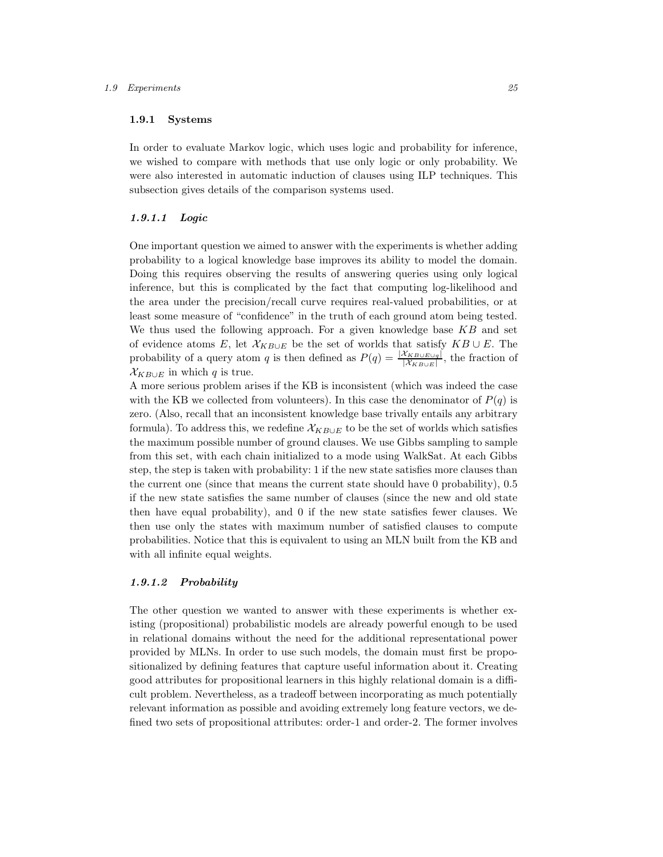#### 1.9 Experiments 25

## 1.9.1 Systems

In order to evaluate Markov logic, which uses logic and probability for inference, we wished to compare with methods that use only logic or only probability. We were also interested in automatic induction of clauses using ILP techniques. This subsection gives details of the comparison systems used.

## 1.9.1.1 Logic

One important question we aimed to answer with the experiments is whether adding probability to a logical knowledge base improves its ability to model the domain. Doing this requires observing the results of answering queries using only logical inference, but this is complicated by the fact that computing log-likelihood and the area under the precision/recall curve requires real-valued probabilities, or at least some measure of "confidence" in the truth of each ground atom being tested. We thus used the following approach. For a given knowledge base  $KB$  and set of evidence atoms E, let  $\mathcal{X}_{KB\cup E}$  be the set of worlds that satisfy  $KB \cup E$ . The probability of a query atom q is then defined as  $P(q) = \frac{X_{KB \cup E \cup q}}{X_{KB \cup E}}$  $\frac{\mathcal{X}_{KB\cup E\cup g|}}{|\mathcal{X}_{KB\cup E}|}$ , the fraction of  $\mathcal{X}_{KB\cup E}$  in which q is true.

A more serious problem arises if the KB is inconsistent (which was indeed the case with the KB we collected from volunteers). In this case the denominator of  $P(q)$  is zero. (Also, recall that an inconsistent knowledge base trivally entails any arbitrary formula). To address this, we redefine  $\mathcal{X}_{KB\cup E}$  to be the set of worlds which satisfies the maximum possible number of ground clauses. We use Gibbs sampling to sample from this set, with each chain initialized to a mode using WalkSat. At each Gibbs step, the step is taken with probability: 1 if the new state satisfies more clauses than the current one (since that means the current state should have 0 probability), 0.5 if the new state satisfies the same number of clauses (since the new and old state then have equal probability), and 0 if the new state satisfies fewer clauses. We then use only the states with maximum number of satisfied clauses to compute probabilities. Notice that this is equivalent to using an MLN built from the KB and with all infinite equal weights.

## 1.9.1.2 Probability

The other question we wanted to answer with these experiments is whether existing (propositional) probabilistic models are already powerful enough to be used in relational domains without the need for the additional representational power provided by MLNs. In order to use such models, the domain must first be propositionalized by defining features that capture useful information about it. Creating good attributes for propositional learners in this highly relational domain is a difficult problem. Nevertheless, as a tradeoff between incorporating as much potentially relevant information as possible and avoiding extremely long feature vectors, we defined two sets of propositional attributes: order-1 and order-2. The former involves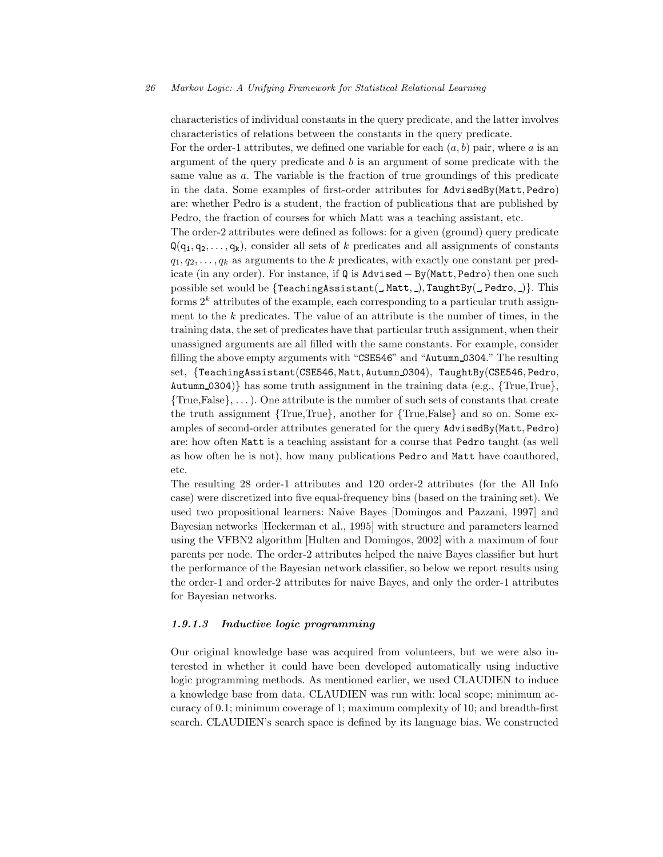characteristics of individual constants in the query predicate, and the latter involves characteristics of relations between the constants in the query predicate.

For the order-1 attributes, we defined one variable for each  $(a, b)$  pair, where a is an argument of the query predicate and b is an argument of some predicate with the same value as a. The variable is the fraction of true groundings of this predicate in the data. Some examples of first-order attributes for AdvisedBy(Matt, Pedro) are: whether Pedro is a student, the fraction of publications that are published by Pedro, the fraction of courses for which Matt was a teaching assistant, etc.

The order-2 attributes were defined as follows: for a given (ground) query predicate  $\mathbb{Q}(q_1, q_2, \ldots, q_k)$ , consider all sets of k predicates and all assignments of constants  $q_1, q_2, \ldots, q_k$  as arguments to the k predicates, with exactly one constant per predicate (in any order). For instance, if Q is Advised − By(Matt, Pedro) then one such possible set would be  $\{TeachingAssistant(\texttt{m}Matt, \texttt{m}), TaughtBy(\texttt{m}Pedro, \texttt{m})\}.$  This forms  $2<sup>k</sup>$  attributes of the example, each corresponding to a particular truth assignment to the  $k$  predicates. The value of an attribute is the number of times, in the training data, the set of predicates have that particular truth assignment, when their unassigned arguments are all filled with the same constants. For example, consider filling the above empty arguments with "CSE546" and "Autumn 0304." The resulting set, {TeachingAssistant(CSE546, Matt, Autumn 0304), TaughtBy(CSE546, Pedro, Autumn 0304)} has some truth assignment in the training data (e.g.,  $\{True, True\}$ , {True,False}, . . .). One attribute is the number of such sets of constants that create the truth assignment {True,True}, another for {True,False} and so on. Some examples of second-order attributes generated for the query AdvisedBy(Matt, Pedro) are: how often Matt is a teaching assistant for a course that Pedro taught (as well as how often he is not), how many publications Pedro and Matt have coauthored, etc.

The resulting 28 order-1 attributes and 120 order-2 attributes (for the All Info case) were discretized into five equal-frequency bins (based on the training set). We used two propositional learners: Naive Bayes [Domingos and Pazzani, 1997] and Bayesian networks [Heckerman et al., 1995] with structure and parameters learned using the VFBN2 algorithm [Hulten and Domingos, 2002] with a maximum of four parents per node. The order-2 attributes helped the naive Bayes classifier but hurt the performance of the Bayesian network classifier, so below we report results using the order-1 and order-2 attributes for naive Bayes, and only the order-1 attributes for Bayesian networks.

## 1.9.1.3 Inductive logic programming

Our original knowledge base was acquired from volunteers, but we were also interested in whether it could have been developed automatically using inductive logic programming methods. As mentioned earlier, we used CLAUDIEN to induce a knowledge base from data. CLAUDIEN was run with: local scope; minimum accuracy of 0.1; minimum coverage of 1; maximum complexity of 10; and breadth-first search. CLAUDIEN's search space is defined by its language bias. We constructed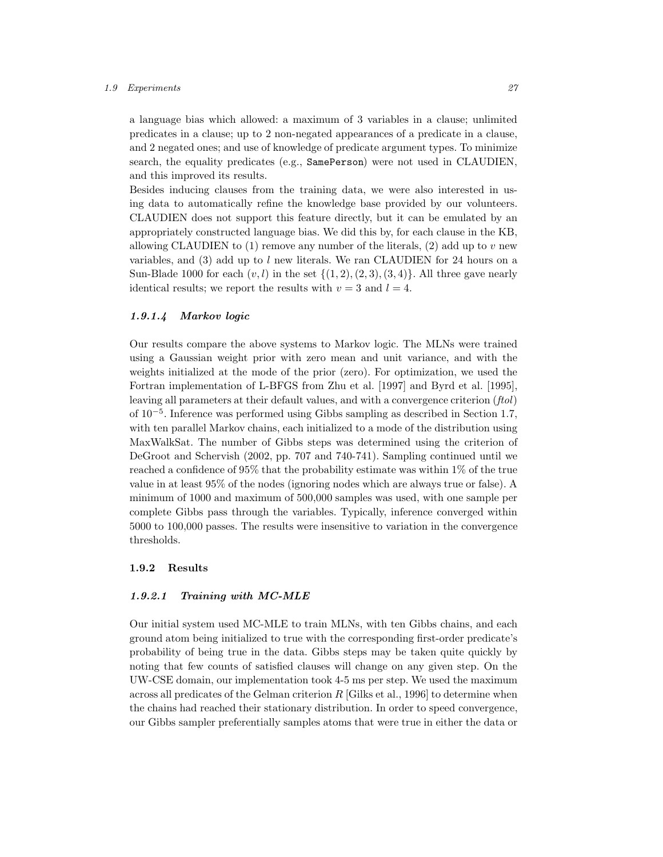#### 1.9 Experiments 27

a language bias which allowed: a maximum of 3 variables in a clause; unlimited predicates in a clause; up to 2 non-negated appearances of a predicate in a clause, and 2 negated ones; and use of knowledge of predicate argument types. To minimize search, the equality predicates (e.g., SamePerson) were not used in CLAUDIEN, and this improved its results.

Besides inducing clauses from the training data, we were also interested in using data to automatically refine the knowledge base provided by our volunteers. CLAUDIEN does not support this feature directly, but it can be emulated by an appropriately constructed language bias. We did this by, for each clause in the KB, allowing CLAUDIEN to (1) remove any number of the literals, (2) add up to  $v$  new variables, and (3) add up to l new literals. We ran CLAUDIEN for 24 hours on a Sun-Blade 1000 for each  $(v, l)$  in the set  $\{(1, 2), (2, 3), (3, 4)\}$ . All three gave nearly identical results; we report the results with  $v = 3$  and  $l = 4$ .

#### 1.9.1.4 Markov logic

Our results compare the above systems to Markov logic. The MLNs were trained using a Gaussian weight prior with zero mean and unit variance, and with the weights initialized at the mode of the prior (zero). For optimization, we used the Fortran implementation of L-BFGS from Zhu et al. [1997] and Byrd et al. [1995], leaving all parameters at their default values, and with a convergence criterion (ftol) of 10<sup>−</sup><sup>5</sup> . Inference was performed using Gibbs sampling as described in Section 1.7, with ten parallel Markov chains, each initialized to a mode of the distribution using MaxWalkSat. The number of Gibbs steps was determined using the criterion of DeGroot and Schervish (2002, pp. 707 and 740-741). Sampling continued until we reached a confidence of 95% that the probability estimate was within 1% of the true value in at least 95% of the nodes (ignoring nodes which are always true or false). A minimum of 1000 and maximum of 500,000 samples was used, with one sample per complete Gibbs pass through the variables. Typically, inference converged within 5000 to 100,000 passes. The results were insensitive to variation in the convergence thresholds.

#### 1.9.2 Results

## 1.9.2.1 Training with MC-MLE

Our initial system used MC-MLE to train MLNs, with ten Gibbs chains, and each ground atom being initialized to true with the corresponding first-order predicate's probability of being true in the data. Gibbs steps may be taken quite quickly by noting that few counts of satisfied clauses will change on any given step. On the UW-CSE domain, our implementation took 4-5 ms per step. We used the maximum across all predicates of the Gelman criterion  $R$  [Gilks et al., 1996] to determine when the chains had reached their stationary distribution. In order to speed convergence, our Gibbs sampler preferentially samples atoms that were true in either the data or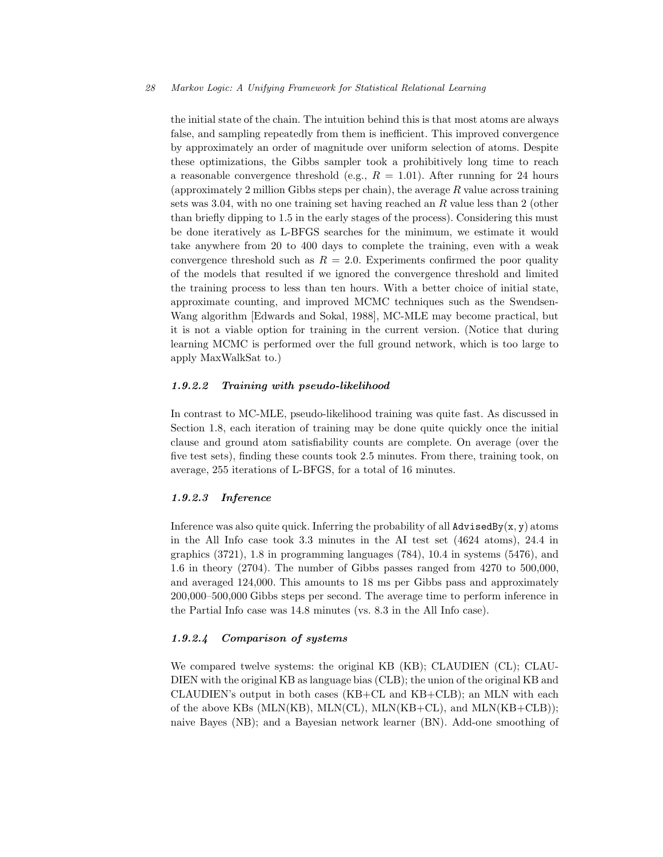#### 28 Markov Logic: A Unifying Framework for Statistical Relational Learning

the initial state of the chain. The intuition behind this is that most atoms are always false, and sampling repeatedly from them is inefficient. This improved convergence by approximately an order of magnitude over uniform selection of atoms. Despite these optimizations, the Gibbs sampler took a prohibitively long time to reach a reasonable convergence threshold (e.g.,  $R = 1.01$ ). After running for 24 hours (approximately 2 million Gibbs steps per chain), the average  $R$  value across training sets was 3.04, with no one training set having reached an R value less than 2 (other than briefly dipping to 1.5 in the early stages of the process). Considering this must be done iteratively as L-BFGS searches for the minimum, we estimate it would take anywhere from 20 to 400 days to complete the training, even with a weak convergence threshold such as  $R = 2.0$ . Experiments confirmed the poor quality of the models that resulted if we ignored the convergence threshold and limited the training process to less than ten hours. With a better choice of initial state, approximate counting, and improved MCMC techniques such as the Swendsen-Wang algorithm [Edwards and Sokal, 1988], MC-MLE may become practical, but it is not a viable option for training in the current version. (Notice that during learning MCMC is performed over the full ground network, which is too large to apply MaxWalkSat to.)

## 1.9.2.2 Training with pseudo-likelihood

In contrast to MC-MLE, pseudo-likelihood training was quite fast. As discussed in Section 1.8, each iteration of training may be done quite quickly once the initial clause and ground atom satisfiability counts are complete. On average (over the five test sets), finding these counts took 2.5 minutes. From there, training took, on average, 255 iterations of L-BFGS, for a total of 16 minutes.

## 1.9.2.3 Inference

Inference was also quite quick. Inferring the probability of all  $\text{AdvisedBy}(x, y)$  atoms in the All Info case took 3.3 minutes in the AI test set (4624 atoms), 24.4 in graphics (3721), 1.8 in programming languages (784), 10.4 in systems (5476), and 1.6 in theory (2704). The number of Gibbs passes ranged from 4270 to 500,000, and averaged 124,000. This amounts to 18 ms per Gibbs pass and approximately 200,000–500,000 Gibbs steps per second. The average time to perform inference in the Partial Info case was 14.8 minutes (vs. 8.3 in the All Info case).

## 1.9.2.4 Comparison of systems

We compared twelve systems: the original KB (KB); CLAUDIEN (CL); CLAU-DIEN with the original KB as language bias (CLB); the union of the original KB and CLAUDIEN's output in both cases (KB+CL and KB+CLB); an MLN with each of the above KBs (MLN(KB), MLN(CL), MLN(KB+CL), and MLN(KB+CLB)); naive Bayes (NB); and a Bayesian network learner (BN). Add-one smoothing of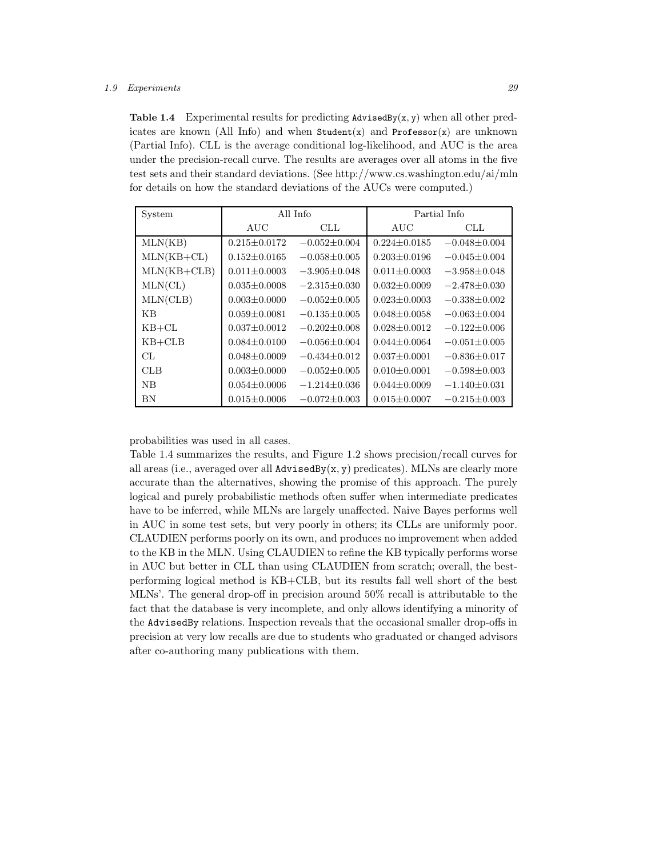#### 1.9 Experiments 29

**Table 1.4** Experimental results for predicting  $\text{AdvisedBy}(x, y)$  when all other predicates are known (All Info) and when  $Student(x)$  and  $Professor(x)$  are unknown (Partial Info). CLL is the average conditional log-likelihood, and AUC is the area under the precision-recall curve. The results are averages over all atoms in the five test sets and their standard deviations. (See http://www.cs.washington.edu/ai/mln for details on how the standard deviations of the AUCs were computed.)

| System         | All Info           |                    | Partial Info       |                    |
|----------------|--------------------|--------------------|--------------------|--------------------|
|                | AUC                | CLL.               | AUC                | CLL                |
| MLN(KB)        | $0.215 \pm 0.0172$ | $-0.052 \pm 0.004$ | $0.224 + 0.0185$   | $-0.048 + 0.004$   |
| $MLN(KB+CL)$   | $0.152 \pm 0.0165$ | $-0.058 \pm 0.005$ | $0.203 \pm 0.0196$ | $-0.045 \pm 0.004$ |
| $MLN(KB+CLB)$  | $0.011 \pm 0.0003$ | $-3.905 \pm 0.048$ | $0.011 \pm 0.0003$ | $-3.958 \pm 0.048$ |
| MLN (CL)       | $0.035 + 0.0008$   | $-2.315 + 0.030$   | $0.032 + 0.0009$   | $-2.478 + 0.030$   |
| MLN(CLB)       | $0.003 \pm 0.0000$ | $-0.052 + 0.005$   | $0.023 + 0.0003$   | $-0.338 + 0.002$   |
| KВ             | $0.059 + 0.0081$   | $-0.135 + 0.005$   | $0.048 + 0.0058$   | $-0.063 + 0.004$   |
| $KB+CL$        | $0.037 + 0.0012$   | $-0.202 + 0.008$   | $0.028 + 0.0012$   | $-0.122 \pm 0.006$ |
| $KB+CLB$       | $0.084 + 0.0100$   | $-0.056 + 0.004$   | $0.044 + 0.0064$   | $-0.051 + 0.005$   |
| CL.            | $0.048 + 0.0009$   | $-0.434\pm0.012$   | $0.037 \pm 0.0001$ | $-0.836 + 0.017$   |
| <b>CLB</b>     | $0.003 + 0.0000$   | $-0.052 \pm 0.005$ | $0.010 \pm 0.0001$ | $-0.598 + 0.003$   |
| N <sub>B</sub> | $0.054 \pm 0.0006$ | $-1.214 + 0.036$   | $0.044 \pm 0.0009$ | $-1.140 + 0.031$   |
| ΒN             | $0.015 \pm 0.0006$ | $-0.072 \pm 0.003$ | $0.015 \pm 0.0007$ | $-0.215 \pm 0.003$ |

probabilities was used in all cases.

Table 1.4 summarizes the results, and Figure 1.2 shows precision/recall curves for all areas (i.e., averaged over all  $\text{AdvisedBy}(x, y)$  predicates). MLNs are clearly more accurate than the alternatives, showing the promise of this approach. The purely logical and purely probabilistic methods often suffer when intermediate predicates have to be inferred, while MLNs are largely unaffected. Naive Bayes performs well in AUC in some test sets, but very poorly in others; its CLLs are uniformly poor. CLAUDIEN performs poorly on its own, and produces no improvement when added to the KB in the MLN. Using CLAUDIEN to refine the KB typically performs worse in AUC but better in CLL than using CLAUDIEN from scratch; overall, the bestperforming logical method is KB+CLB, but its results fall well short of the best MLNs'. The general drop-off in precision around 50% recall is attributable to the fact that the database is very incomplete, and only allows identifying a minority of the AdvisedBy relations. Inspection reveals that the occasional smaller drop-offs in precision at very low recalls are due to students who graduated or changed advisors after co-authoring many publications with them.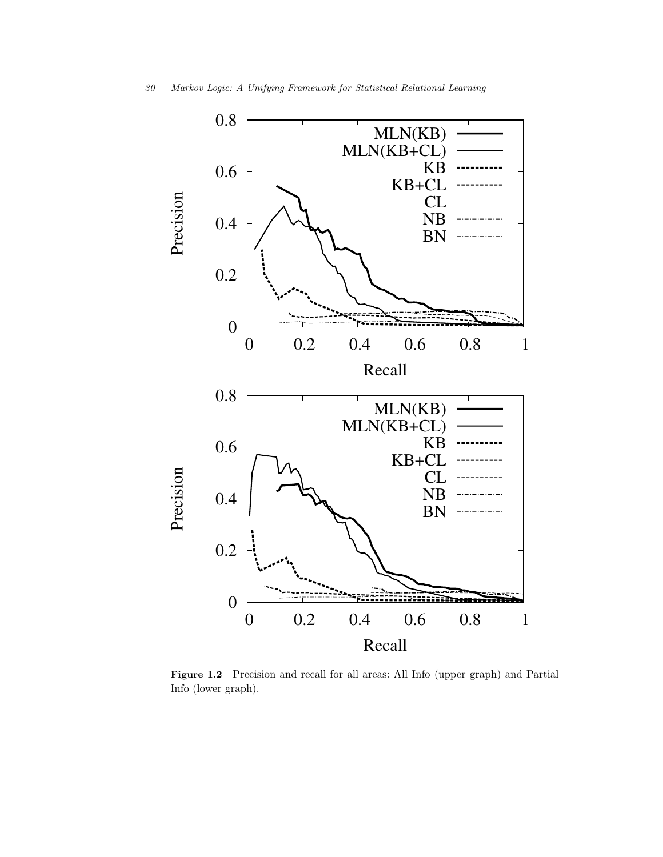

Figure 1.2 Precision and recall for all areas: All Info (upper graph) and Partial Info (lower graph).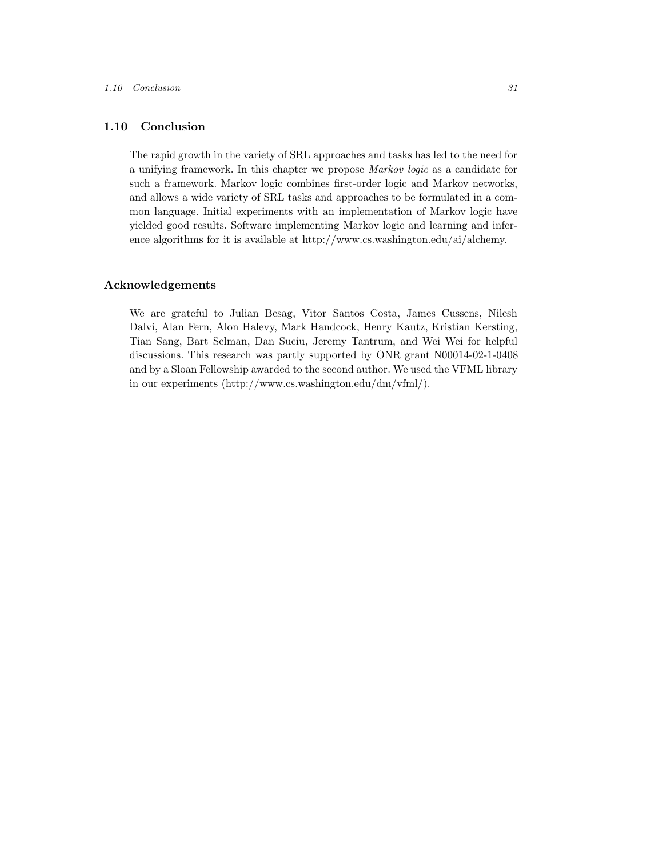## 1.10 Conclusion

The rapid growth in the variety of SRL approaches and tasks has led to the need for a unifying framework. In this chapter we propose Markov logic as a candidate for such a framework. Markov logic combines first-order logic and Markov networks, and allows a wide variety of SRL tasks and approaches to be formulated in a common language. Initial experiments with an implementation of Markov logic have yielded good results. Software implementing Markov logic and learning and inference algorithms for it is available at http://www.cs.washington.edu/ai/alchemy.

## Acknowledgements

We are grateful to Julian Besag, Vitor Santos Costa, James Cussens, Nilesh Dalvi, Alan Fern, Alon Halevy, Mark Handcock, Henry Kautz, Kristian Kersting, Tian Sang, Bart Selman, Dan Suciu, Jeremy Tantrum, and Wei Wei for helpful discussions. This research was partly supported by ONR grant N00014-02-1-0408 and by a Sloan Fellowship awarded to the second author. We used the VFML library in our experiments (http://www.cs.washington.edu/dm/vfml/).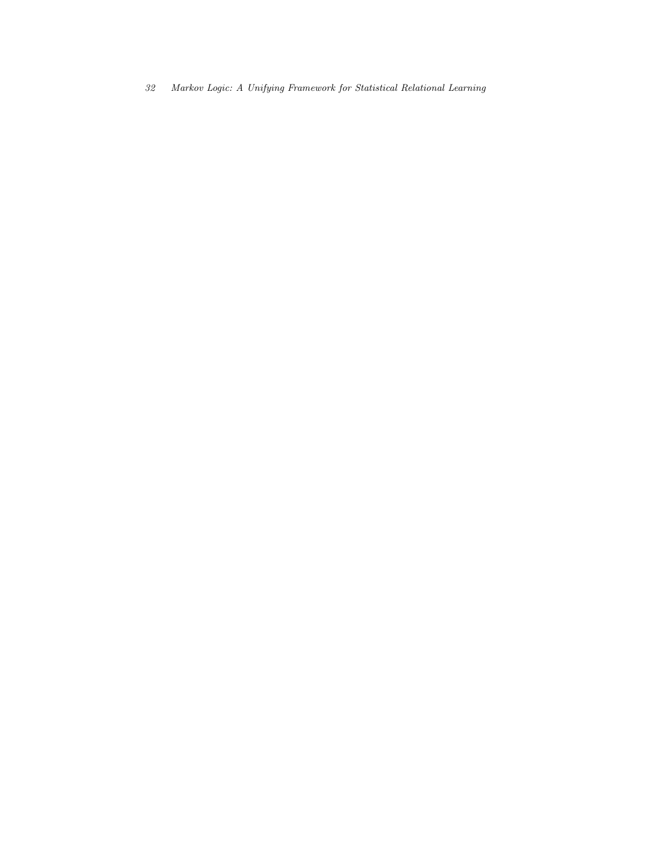Markov Logic: A Unifying Framework for Statistical Relational Learning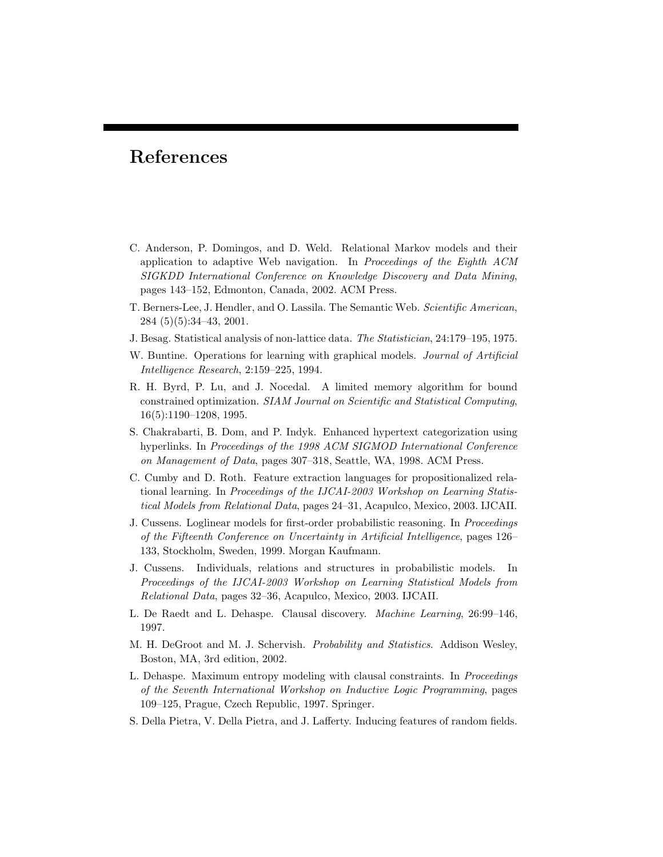## References

- C. Anderson, P. Domingos, and D. Weld. Relational Markov models and their application to adaptive Web navigation. In Proceedings of the Eighth ACM SIGKDD International Conference on Knowledge Discovery and Data Mining, pages 143–152, Edmonton, Canada, 2002. ACM Press.
- T. Berners-Lee, J. Hendler, and O. Lassila. The Semantic Web. Scientific American, 284 (5)(5):34–43, 2001.
- J. Besag. Statistical analysis of non-lattice data. The Statistician, 24:179–195, 1975.
- W. Buntine. Operations for learning with graphical models. Journal of Artificial Intelligence Research, 2:159–225, 1994.
- R. H. Byrd, P. Lu, and J. Nocedal. A limited memory algorithm for bound constrained optimization. SIAM Journal on Scientific and Statistical Computing, 16(5):1190–1208, 1995.
- S. Chakrabarti, B. Dom, and P. Indyk. Enhanced hypertext categorization using hyperlinks. In Proceedings of the 1998 ACM SIGMOD International Conference on Management of Data, pages 307–318, Seattle, WA, 1998. ACM Press.
- C. Cumby and D. Roth. Feature extraction languages for propositionalized relational learning. In Proceedings of the IJCAI-2003 Workshop on Learning Statistical Models from Relational Data, pages 24–31, Acapulco, Mexico, 2003. IJCAII.
- J. Cussens. Loglinear models for first-order probabilistic reasoning. In Proceedings of the Fifteenth Conference on Uncertainty in Artificial Intelligence, pages 126– 133, Stockholm, Sweden, 1999. Morgan Kaufmann.
- J. Cussens. Individuals, relations and structures in probabilistic models. In Proceedings of the IJCAI-2003 Workshop on Learning Statistical Models from Relational Data, pages 32–36, Acapulco, Mexico, 2003. IJCAII.
- L. De Raedt and L. Dehaspe. Clausal discovery. Machine Learning, 26:99–146, 1997.
- M. H. DeGroot and M. J. Schervish. Probability and Statistics. Addison Wesley, Boston, MA, 3rd edition, 2002.
- L. Dehaspe. Maximum entropy modeling with clausal constraints. In Proceedings of the Seventh International Workshop on Inductive Logic Programming, pages 109–125, Prague, Czech Republic, 1997. Springer.
- S. Della Pietra, V. Della Pietra, and J. Lafferty. Inducing features of random fields.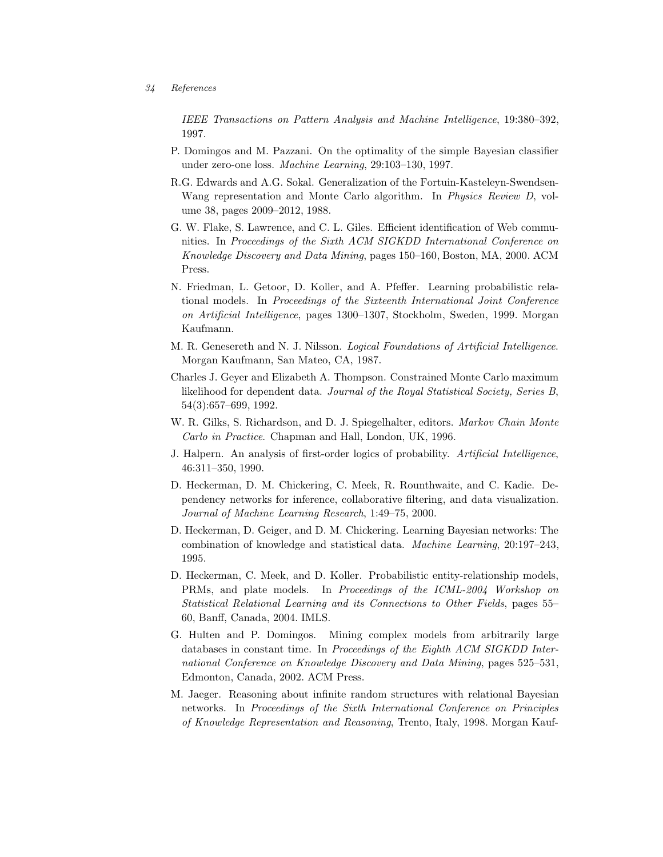#### 34 References

IEEE Transactions on Pattern Analysis and Machine Intelligence, 19:380–392, 1997.

- P. Domingos and M. Pazzani. On the optimality of the simple Bayesian classifier under zero-one loss. Machine Learning, 29:103–130, 1997.
- R.G. Edwards and A.G. Sokal. Generalization of the Fortuin-Kasteleyn-Swendsen-Wang representation and Monte Carlo algorithm. In Physics Review D, volume 38, pages 2009–2012, 1988.
- G. W. Flake, S. Lawrence, and C. L. Giles. Efficient identification of Web communities. In Proceedings of the Sixth ACM SIGKDD International Conference on Knowledge Discovery and Data Mining, pages 150–160, Boston, MA, 2000. ACM Press.
- N. Friedman, L. Getoor, D. Koller, and A. Pfeffer. Learning probabilistic relational models. In Proceedings of the Sixteenth International Joint Conference on Artificial Intelligence, pages 1300–1307, Stockholm, Sweden, 1999. Morgan Kaufmann.
- M. R. Genesereth and N. J. Nilsson. Logical Foundations of Artificial Intelligence. Morgan Kaufmann, San Mateo, CA, 1987.
- Charles J. Geyer and Elizabeth A. Thompson. Constrained Monte Carlo maximum likelihood for dependent data. Journal of the Royal Statistical Society, Series B, 54(3):657–699, 1992.
- W. R. Gilks, S. Richardson, and D. J. Spiegelhalter, editors. *Markov Chain Monte* Carlo in Practice. Chapman and Hall, London, UK, 1996.
- J. Halpern. An analysis of first-order logics of probability. Artificial Intelligence, 46:311–350, 1990.
- D. Heckerman, D. M. Chickering, C. Meek, R. Rounthwaite, and C. Kadie. Dependency networks for inference, collaborative filtering, and data visualization. Journal of Machine Learning Research, 1:49–75, 2000.
- D. Heckerman, D. Geiger, and D. M. Chickering. Learning Bayesian networks: The combination of knowledge and statistical data. Machine Learning, 20:197–243, 1995.
- D. Heckerman, C. Meek, and D. Koller. Probabilistic entity-relationship models, PRMs, and plate models. In Proceedings of the ICML-2004 Workshop on Statistical Relational Learning and its Connections to Other Fields, pages 55– 60, Banff, Canada, 2004. IMLS.
- G. Hulten and P. Domingos. Mining complex models from arbitrarily large databases in constant time. In Proceedings of the Eighth ACM SIGKDD International Conference on Knowledge Discovery and Data Mining, pages 525–531, Edmonton, Canada, 2002. ACM Press.
- M. Jaeger. Reasoning about infinite random structures with relational Bayesian networks. In Proceedings of the Sixth International Conference on Principles of Knowledge Representation and Reasoning, Trento, Italy, 1998. Morgan Kauf-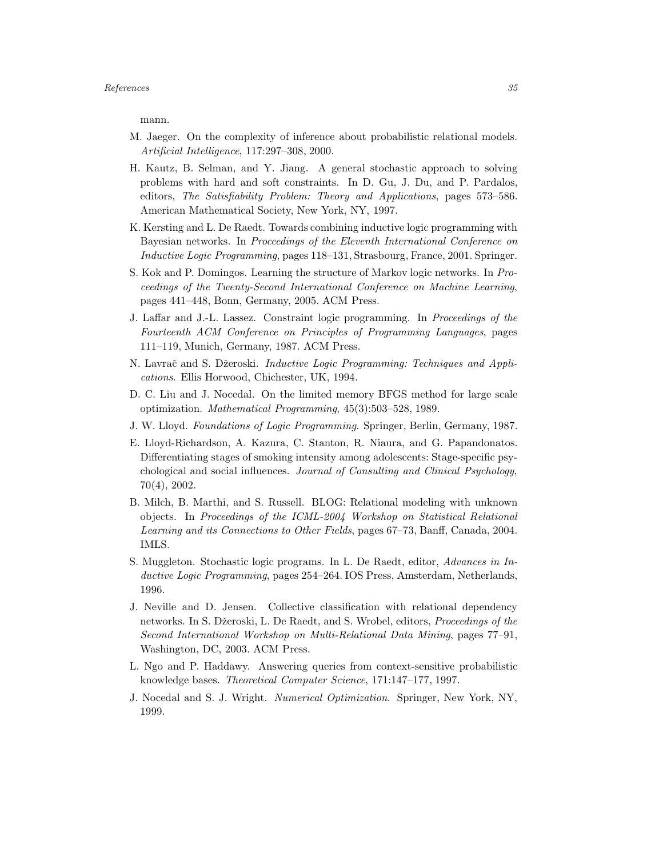mann.

- M. Jaeger. On the complexity of inference about probabilistic relational models. Artificial Intelligence, 117:297–308, 2000.
- H. Kautz, B. Selman, and Y. Jiang. A general stochastic approach to solving problems with hard and soft constraints. In D. Gu, J. Du, and P. Pardalos, editors, The Satisfiability Problem: Theory and Applications, pages 573–586. American Mathematical Society, New York, NY, 1997.
- K. Kersting and L. De Raedt. Towards combining inductive logic programming with Bayesian networks. In *Proceedings of the Eleventh International Conference on* Inductive Logic Programming, pages 118–131, Strasbourg, France, 2001. Springer.
- S. Kok and P. Domingos. Learning the structure of Markov logic networks. In Proceedings of the Twenty-Second International Conference on Machine Learning, pages 441–448, Bonn, Germany, 2005. ACM Press.
- J. Laffar and J.-L. Lassez. Constraint logic programming. In Proceedings of the Fourteenth ACM Conference on Principles of Programming Languages, pages 111–119, Munich, Germany, 1987. ACM Press.
- N. Lavrač and S. Džeroski. Inductive Logic Programming: Techniques and Applications. Ellis Horwood, Chichester, UK, 1994.
- D. C. Liu and J. Nocedal. On the limited memory BFGS method for large scale optimization. Mathematical Programming, 45(3):503–528, 1989.
- J. W. Lloyd. Foundations of Logic Programming. Springer, Berlin, Germany, 1987.
- E. Lloyd-Richardson, A. Kazura, C. Stanton, R. Niaura, and G. Papandonatos. Differentiating stages of smoking intensity among adolescents: Stage-specific psychological and social influences. Journal of Consulting and Clinical Psychology, 70(4), 2002.
- B. Milch, B. Marthi, and S. Russell. BLOG: Relational modeling with unknown objects. In Proceedings of the ICML-2004 Workshop on Statistical Relational Learning and its Connections to Other Fields, pages 67–73, Banff, Canada, 2004. IMLS.
- S. Muggleton. Stochastic logic programs. In L. De Raedt, editor, Advances in Inductive Logic Programming, pages 254–264. IOS Press, Amsterdam, Netherlands, 1996.
- J. Neville and D. Jensen. Collective classification with relational dependency networks. In S. Džeroski, L. De Raedt, and S. Wrobel, editors, *Proceedings of the* Second International Workshop on Multi-Relational Data Mining, pages 77–91, Washington, DC, 2003. ACM Press.
- L. Ngo and P. Haddawy. Answering queries from context-sensitive probabilistic knowledge bases. Theoretical Computer Science, 171:147–177, 1997.
- J. Nocedal and S. J. Wright. Numerical Optimization. Springer, New York, NY, 1999.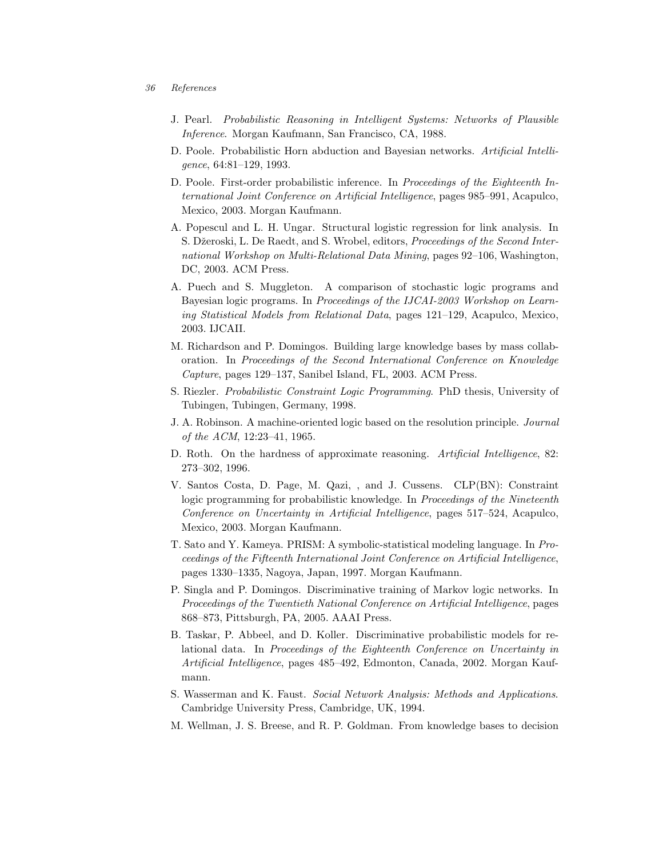#### 36 References

- J. Pearl. Probabilistic Reasoning in Intelligent Systems: Networks of Plausible Inference. Morgan Kaufmann, San Francisco, CA, 1988.
- D. Poole. Probabilistic Horn abduction and Bayesian networks. Artificial Intelligence, 64:81–129, 1993.
- D. Poole. First-order probabilistic inference. In Proceedings of the Eighteenth International Joint Conference on Artificial Intelligence, pages 985–991, Acapulco, Mexico, 2003. Morgan Kaufmann.
- A. Popescul and L. H. Ungar. Structural logistic regression for link analysis. In S. Džeroski, L. De Raedt, and S. Wrobel, editors, *Proceedings of the Second Inter*national Workshop on Multi-Relational Data Mining, pages 92–106, Washington, DC, 2003. ACM Press.
- A. Puech and S. Muggleton. A comparison of stochastic logic programs and Bayesian logic programs. In Proceedings of the IJCAI-2003 Workshop on Learning Statistical Models from Relational Data, pages 121–129, Acapulco, Mexico, 2003. IJCAII.
- M. Richardson and P. Domingos. Building large knowledge bases by mass collaboration. In Proceedings of the Second International Conference on Knowledge Capture, pages 129–137, Sanibel Island, FL, 2003. ACM Press.
- S. Riezler. Probabilistic Constraint Logic Programming. PhD thesis, University of Tubingen, Tubingen, Germany, 1998.
- J. A. Robinson. A machine-oriented logic based on the resolution principle. Journal of the ACM, 12:23–41, 1965.
- D. Roth. On the hardness of approximate reasoning. Artificial Intelligence, 82: 273–302, 1996.
- V. Santos Costa, D. Page, M. Qazi, , and J. Cussens. CLP(BN): Constraint logic programming for probabilistic knowledge. In *Proceedings of the Nineteenth* Conference on Uncertainty in Artificial Intelligence, pages 517–524, Acapulco, Mexico, 2003. Morgan Kaufmann.
- T. Sato and Y. Kameya. PRISM: A symbolic-statistical modeling language. In Proceedings of the Fifteenth International Joint Conference on Artificial Intelligence, pages 1330–1335, Nagoya, Japan, 1997. Morgan Kaufmann.
- P. Singla and P. Domingos. Discriminative training of Markov logic networks. In Proceedings of the Twentieth National Conference on Artificial Intelligence, pages 868–873, Pittsburgh, PA, 2005. AAAI Press.
- B. Taskar, P. Abbeel, and D. Koller. Discriminative probabilistic models for relational data. In Proceedings of the Eighteenth Conference on Uncertainty in Artificial Intelligence, pages 485–492, Edmonton, Canada, 2002. Morgan Kaufmann.
- S. Wasserman and K. Faust. Social Network Analysis: Methods and Applications. Cambridge University Press, Cambridge, UK, 1994.
- M. Wellman, J. S. Breese, and R. P. Goldman. From knowledge bases to decision